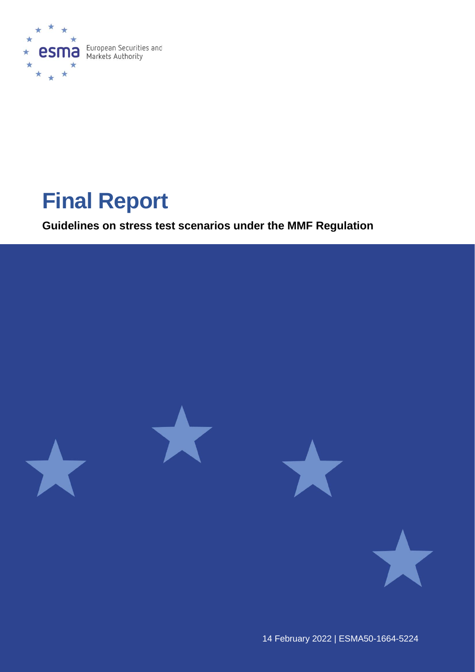

# **Final Report**

**Guidelines on stress test scenarios under the MMF Regulation**



14 February 2022 | ESMA50-1664-5224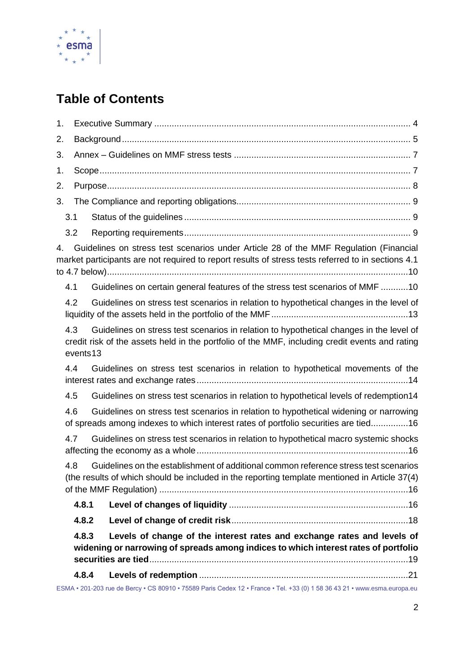

### **Table of Contents**

| 1. |     |          |                                                                                                                                                                                             |
|----|-----|----------|---------------------------------------------------------------------------------------------------------------------------------------------------------------------------------------------|
| 2. |     |          |                                                                                                                                                                                             |
| 3. |     |          |                                                                                                                                                                                             |
| 1. |     |          |                                                                                                                                                                                             |
| 2. |     |          |                                                                                                                                                                                             |
| 3. |     |          |                                                                                                                                                                                             |
|    | 3.1 |          |                                                                                                                                                                                             |
|    | 3.2 |          |                                                                                                                                                                                             |
| 4. |     |          | Guidelines on stress test scenarios under Article 28 of the MMF Regulation (Financial<br>market participants are not required to report results of stress tests referred to in sections 4.1 |
|    | 4.1 |          | Guidelines on certain general features of the stress test scenarios of MMF 10                                                                                                               |
|    | 4.2 |          | Guidelines on stress test scenarios in relation to hypothetical changes in the level of                                                                                                     |
|    | 4.3 | events13 | Guidelines on stress test scenarios in relation to hypothetical changes in the level of<br>credit risk of the assets held in the portfolio of the MMF, including credit events and rating   |
|    | 4.4 |          | Guidelines on stress test scenarios in relation to hypothetical movements of the                                                                                                            |
|    | 4.5 |          | Guidelines on stress test scenarios in relation to hypothetical levels of redemption14                                                                                                      |
|    | 4.6 |          | Guidelines on stress test scenarios in relation to hypothetical widening or narrowing<br>of spreads among indexes to which interest rates of portfolio securities are tied16                |
|    | 4.7 |          | Guidelines on stress test scenarios in relation to hypothetical macro systemic shocks                                                                                                       |
|    | 4.8 |          | Guidelines on the establishment of additional common reference stress test scenarios<br>(the results of which should be included in the reporting template mentioned in Article 37(4)       |
|    |     | 4.8.1    |                                                                                                                                                                                             |
|    |     | 4.8.2    |                                                                                                                                                                                             |
|    |     | 4.8.3    | Levels of change of the interest rates and exchange rates and levels of<br>widening or narrowing of spreads among indices to which interest rates of portfolio                              |
|    |     | 4.8.4    |                                                                                                                                                                                             |
|    |     |          | $20.00010$ $75500 R$ $\rightarrow$ $Q$ $\rightarrow$ $100 R$ $\rightarrow$ $T$ $\rightarrow$ $1000 (0)$ $T = 000 (0)$                                                                       |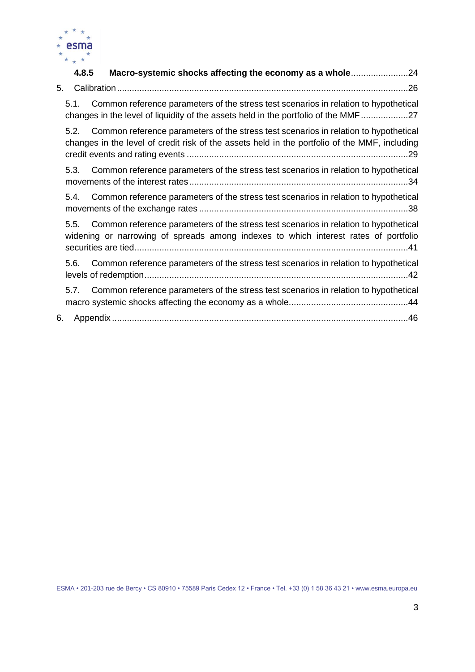

|    | 4.8.5 | Macro-systemic shocks affecting the economy as a whole24                                                                                                                              |
|----|-------|---------------------------------------------------------------------------------------------------------------------------------------------------------------------------------------|
| 5. |       |                                                                                                                                                                                       |
|    | 5.1.  | Common reference parameters of the stress test scenarios in relation to hypothetical<br>changes in the level of liquidity of the assets held in the portfolio of the MMF27            |
|    | 5.2.  | Common reference parameters of the stress test scenarios in relation to hypothetical<br>changes in the level of credit risk of the assets held in the portfolio of the MMF, including |
|    | 5.3.  | Common reference parameters of the stress test scenarios in relation to hypothetical                                                                                                  |
|    | 5.4.  | Common reference parameters of the stress test scenarios in relation to hypothetical                                                                                                  |
|    | 5.5.  | Common reference parameters of the stress test scenarios in relation to hypothetical<br>widening or narrowing of spreads among indexes to which interest rates of portfolio           |
|    | 5.6.  | Common reference parameters of the stress test scenarios in relation to hypothetical                                                                                                  |
|    | 5.7.  | Common reference parameters of the stress test scenarios in relation to hypothetical                                                                                                  |
| 6. |       |                                                                                                                                                                                       |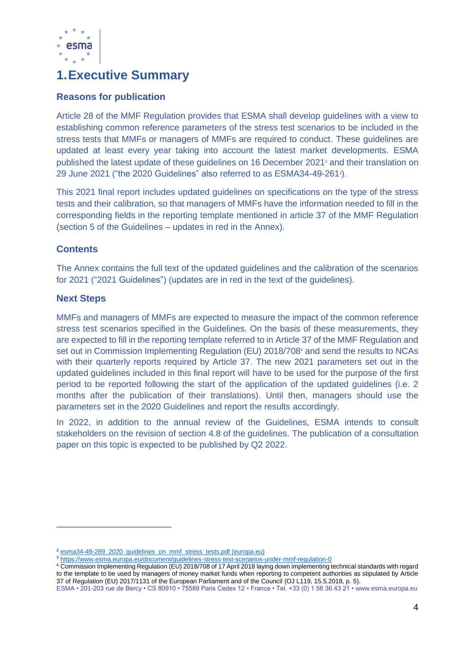

### <span id="page-3-0"></span>**1.Executive Summary**

#### **Reasons for publication**

Article 28 of the MMF Regulation provides that ESMA shall develop guidelines with a view to establishing common reference parameters of the stress test scenarios to be included in the stress tests that MMFs or managers of MMFs are required to conduct. These guidelines are updated at least every year taking into account the latest market developments. ESMA published the latest update of these guidelines on 16 December 2021<sup>2</sup> and their translation on 29 June 2021 ("the 2020 Guidelines" also referred to as ESMA34-49-261<sup>3</sup> ).

This 2021 final report includes updated guidelines on specifications on the type of the stress tests and their calibration, so that managers of MMFs have the information needed to fill in the corresponding fields in the reporting template mentioned in article 37 of the MMF Regulation (section 5 of the Guidelines – updates in red in the Annex)*.* 

#### **Contents**

The Annex contains the full text of the updated guidelines and the calibration of the scenarios for 2021 ("2021 Guidelines") (updates are in red in the text of the guidelines).

#### **Next Steps**

MMFs and managers of MMFs are expected to measure the impact of the common reference stress test scenarios specified in the Guidelines. On the basis of these measurements, they are expected to fill in the reporting template referred to in Article 37 of the MMF Regulation and set out in Commission Implementing Regulation (EU) 2018/708<sup>4</sup> and send the results to NCAs with their quarterly reports required by Article 37. The new 2021 parameters set out in the updated guidelines included in this final report will have to be used for the purpose of the first period to be reported following the start of the application of the updated guidelines (i.e. 2 months after the publication of their translations). Until then, managers should use the parameters set in the 2020 Guidelines and report the results accordingly.

In 2022, in addition to the annual review of the Guidelines, ESMA intends to consult stakeholders on the revision of section 4.8 of the guidelines. The publication of a consultation paper on this topic is expected to be published by Q2 2022.

<sup>2</sup> [esma34-49-289\\_2020\\_guidelines\\_on\\_mmf\\_stress\\_tests.pdf \(europa.eu\)](https://www.esma.europa.eu/sites/default/files/library/esma34-49-289_2020_guidelines_on_mmf_stress_tests.pdf)

<sup>3</sup> <https://www.esma.europa.eu/document/guidelines-stress-test-scenarios-under-mmf-regulation-0>

<sup>4</sup> Commission Implementing Regulation (EU) 2018/708 of 17 April 2018 laying down implementing technical standards with regard to the template to be used by managers of money market funds when reporting to competent authorities as stipulated by Article 37 of Regulation (EU) 2017/1131 of the European Parliament and of the Council (OJ L119, 15.5.2018, p. 5).

ESMA • 201-203 rue de Bercy • CS 80910 • 75589 Paris Cedex 12 • France • Tel. +33 (0) 1 58 36 43 21 • www.esma.europa.eu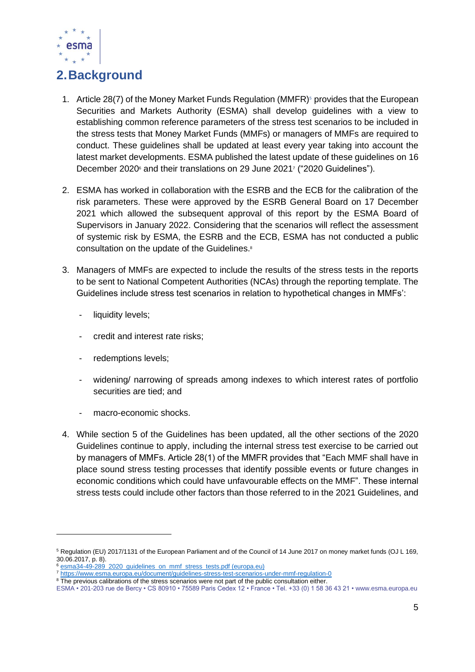

### <span id="page-4-0"></span>**2.Background**

- 1. Article 28(7) of the Money Market Funds Regulation (MMFR)<sup>5</sup> provides that the European Securities and Markets Authority (ESMA) shall develop guidelines with a view to establishing common reference parameters of the stress test scenarios to be included in the stress tests that Money Market Funds (MMFs) or managers of MMFs are required to conduct. These guidelines shall be updated at least every year taking into account the latest market developments. ESMA published the latest update of these guidelines on 16 December 2020<sup>6</sup> and their translations on 29 June 2021<sup>7</sup> ("2020 Guidelines").
- 2. ESMA has worked in collaboration with the ESRB and the ECB for the calibration of the risk parameters. These were approved by the ESRB General Board on 17 December 2021 which allowed the subsequent approval of this report by the ESMA Board of Supervisors in January 2022. Considering that the scenarios will reflect the assessment of systemic risk by ESMA, the ESRB and the ECB, ESMA has not conducted a public consultation on the update of the Guidelines.<sup>8</sup>
- 3. Managers of MMFs are expected to include the results of the stress tests in the reports to be sent to National Competent Authorities (NCAs) through the reporting template. The Guidelines include stress test scenarios in relation to hypothetical changes in MMFs':
	- liquidity levels;
	- credit and interest rate risks;
	- redemptions levels;
	- widening/ narrowing of spreads among indexes to which interest rates of portfolio securities are tied; and
	- macro-economic shocks.
- 4. While section 5 of the Guidelines has been updated, all the other sections of the 2020 Guidelines continue to apply, including the internal stress test exercise to be carried out by managers of MMFs. Article 28(1) of the MMFR provides that "Each MMF shall have in place sound stress testing processes that identify possible events or future changes in economic conditions which could have unfavourable effects on the MMF". These internal stress tests could include other factors than those referred to in the 2021 Guidelines, and

<sup>5</sup> Regulation (EU) 2017/1131 of the European Parliament and of the Council of 14 June 2017 on money market funds (OJ L 169, 30.06.2017, p. 8).

<sup>6</sup> [esma34-49-289\\_2020\\_guidelines\\_on\\_mmf\\_stress\\_tests.pdf \(europa.eu\)](https://www.esma.europa.eu/sites/default/files/library/esma34-49-289_2020_guidelines_on_mmf_stress_tests.pdf)

<sup>7</sup> <https://www.esma.europa.eu/document/guidelines-stress-test-scenarios-under-mmf-regulation-0>

<sup>&</sup>lt;sup>8</sup> The previous calibrations of the stress scenarios were not part of the public consultation either.

ESMA • 201-203 rue de Bercy • CS 80910 • 75589 Paris Cedex 12 • France • Tel. +33 (0) 1 58 36 43 21 • www.esma.europa.eu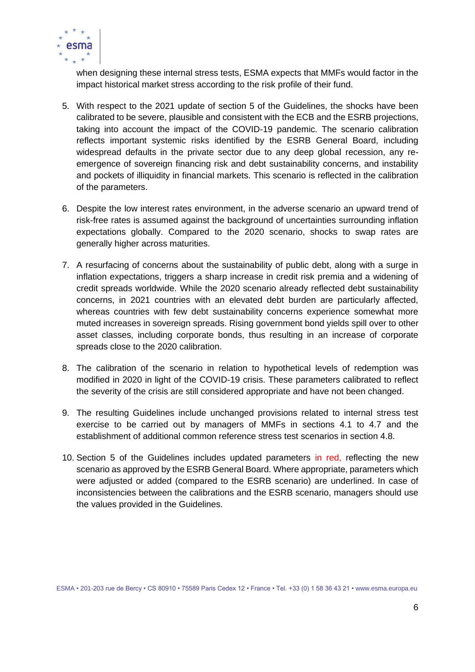

when designing these internal stress tests, ESMA expects that MMFs would factor in the impact historical market stress according to the risk profile of their fund.

- 5. With respect to the 2021 update of section 5 of the Guidelines, the shocks have been calibrated to be severe, plausible and consistent with the ECB and the ESRB projections, taking into account the impact of the COVID-19 pandemic. The scenario calibration reflects important systemic risks identified by the ESRB General Board, including widespread defaults in the private sector due to any deep global recession, any reemergence of sovereign financing risk and debt sustainability concerns, and instability and pockets of illiquidity in financial markets. This scenario is reflected in the calibration of the parameters.
- 6. Despite the low interest rates environment, in the adverse scenario an upward trend of risk-free rates is assumed against the background of uncertainties surrounding inflation expectations globally. Compared to the 2020 scenario, shocks to swap rates are generally higher across maturities.
- 7. A resurfacing of concerns about the sustainability of public debt, along with a surge in inflation expectations, triggers a sharp increase in credit risk premia and a widening of credit spreads worldwide. While the 2020 scenario already reflected debt sustainability concerns, in 2021 countries with an elevated debt burden are particularly affected, whereas countries with few debt sustainability concerns experience somewhat more muted increases in sovereign spreads. Rising government bond yields spill over to other asset classes, including corporate bonds, thus resulting in an increase of corporate spreads close to the 2020 calibration.
- 8. The calibration of the scenario in relation to hypothetical levels of redemption was modified in 2020 in light of the COVID-19 crisis. These parameters calibrated to reflect the severity of the crisis are still considered appropriate and have not been changed.
- 9. The resulting Guidelines include unchanged provisions related to internal stress test exercise to be carried out by managers of MMFs in sections 4.1 to 4.7 and the establishment of additional common reference stress test scenarios in section 4.8.
- 10. Section 5 of the Guidelines includes updated parameters in red, reflecting the new scenario as approved by the ESRB General Board. Where appropriate, parameters which were adjusted or added (compared to the ESRB scenario) are underlined. In case of inconsistencies between the calibrations and the ESRB scenario, managers should use the values provided in the Guidelines.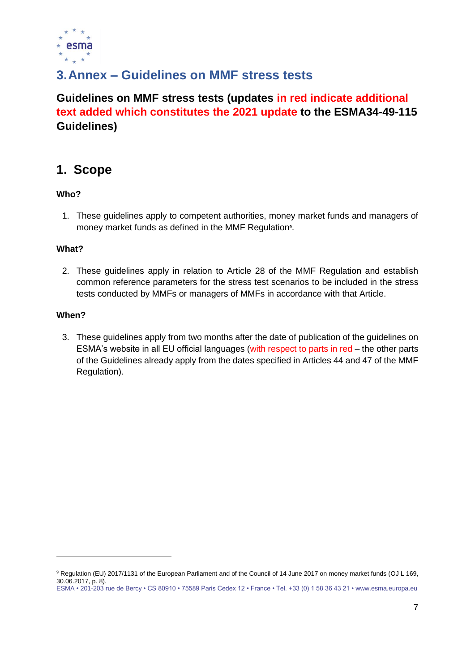

### <span id="page-6-0"></span>**3.Annex – Guidelines on MMF stress tests**

**Guidelines on MMF stress tests (updates in red indicate additional text added which constitutes the 2021 update to the ESMA34-49-115 Guidelines)** 

### <span id="page-6-1"></span>**1. Scope**

#### **Who?**

1. These guidelines apply to competent authorities, money market funds and managers of money market funds as defined in the MMF Regulation**<sup>9</sup>** .

#### **What?**

2. These guidelines apply in relation to Article 28 of the MMF Regulation and establish common reference parameters for the stress test scenarios to be included in the stress tests conducted by MMFs or managers of MMFs in accordance with that Article.

#### **When?**

3. These guidelines apply from two months after the date of publication of the guidelines on ESMA's website in all EU official languages (with respect to parts in red – the other parts of the Guidelines already apply from the dates specified in Articles 44 and 47 of the MMF Regulation).

ESMA • 201-203 rue de Bercy • CS 80910 • 75589 Paris Cedex 12 • France • Tel. +33 (0) 1 58 36 43 21 • www.esma.europa.eu <sup>9</sup> Regulation (EU) 2017/1131 of the European Parliament and of the Council of 14 June 2017 on money market funds (OJ L 169, 30.06.2017, p. 8).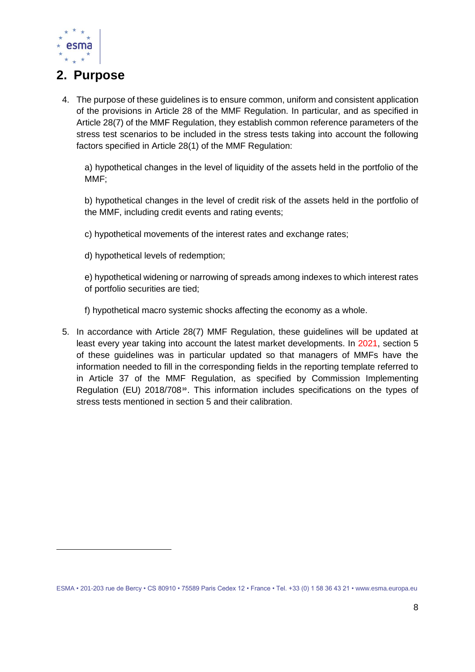

### <span id="page-7-0"></span>**2. Purpose**

4. The purpose of these guidelines is to ensure common, uniform and consistent application of the provisions in Article 28 of the MMF Regulation. In particular, and as specified in Article 28(7) of the MMF Regulation, they establish common reference parameters of the stress test scenarios to be included in the stress tests taking into account the following factors specified in Article 28(1) of the MMF Regulation:

a) hypothetical changes in the level of liquidity of the assets held in the portfolio of the MMF;

b) hypothetical changes in the level of credit risk of the assets held in the portfolio of the MMF, including credit events and rating events;

c) hypothetical movements of the interest rates and exchange rates;

d) hypothetical levels of redemption;

e) hypothetical widening or narrowing of spreads among indexes to which interest rates of portfolio securities are tied;

f) hypothetical macro systemic shocks affecting the economy as a whole.

5. In accordance with Article 28(7) MMF Regulation, these guidelines will be updated at least every year taking into account the latest market developments. In 2021, section 5 of these guidelines was in particular updated so that managers of MMFs have the information needed to fill in the corresponding fields in the reporting template referred to in Article 37 of the MMF Regulation, as specified by Commission Implementing Regulation (EU) 2018/708<sup>10</sup>. This information includes specifications on the types of stress tests mentioned in section 5 and their calibration.

ESMA • 201-203 rue de Bercy • CS 80910 • 75589 Paris Cedex 12 • France • Tel. +33 (0) 1 58 36 43 21 • www.esma.europa.eu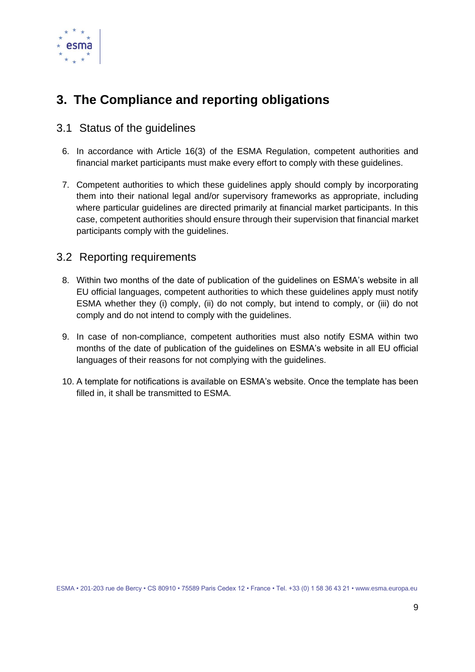

### <span id="page-8-0"></span>**3. The Compliance and reporting obligations**

#### <span id="page-8-1"></span>3.1 Status of the guidelines

- 6. In accordance with Article 16(3) of the ESMA Regulation, competent authorities and financial market participants must make every effort to comply with these guidelines.
- 7. Competent authorities to which these guidelines apply should comply by incorporating them into their national legal and/or supervisory frameworks as appropriate, including where particular guidelines are directed primarily at financial market participants. In this case, competent authorities should ensure through their supervision that financial market participants comply with the guidelines.

#### <span id="page-8-2"></span>3.2 Reporting requirements

- 8. Within two months of the date of publication of the guidelines on ESMA's website in all EU official languages, competent authorities to which these guidelines apply must notify ESMA whether they (i) comply, (ii) do not comply, but intend to comply, or (iii) do not comply and do not intend to comply with the guidelines.
- 9. In case of non-compliance, competent authorities must also notify ESMA within two months of the date of publication of the guidelines on ESMA's website in all EU official languages of their reasons for not complying with the guidelines.
- 10. A template for notifications is available on ESMA's website. Once the template has been filled in, it shall be transmitted to ESMA.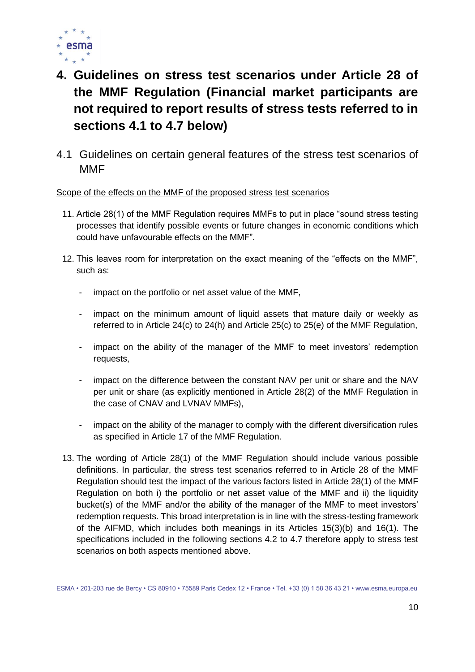

### <span id="page-9-0"></span>**4. Guidelines on stress test scenarios under Article 28 of the MMF Regulation (Financial market participants are not required to report results of stress tests referred to in sections 4.1 to 4.7 below)**

<span id="page-9-1"></span>4.1 Guidelines on certain general features of the stress test scenarios of MMF

Scope of the effects on the MMF of the proposed stress test scenarios

- 11. Article 28(1) of the MMF Regulation requires MMFs to put in place "sound stress testing processes that identify possible events or future changes in economic conditions which could have unfavourable effects on the MMF".
- 12. This leaves room for interpretation on the exact meaning of the "effects on the MMF", such as:
	- impact on the portfolio or net asset value of the MMF,
	- impact on the minimum amount of liquid assets that mature daily or weekly as referred to in Article 24(c) to 24(h) and Article 25(c) to 25(e) of the MMF Regulation,
	- impact on the ability of the manager of the MMF to meet investors' redemption requests,
	- impact on the difference between the constant NAV per unit or share and the NAV per unit or share (as explicitly mentioned in Article 28(2) of the MMF Regulation in the case of CNAV and LVNAV MMFs),
	- impact on the ability of the manager to comply with the different diversification rules as specified in Article 17 of the MMF Regulation.
- 13. The wording of Article 28(1) of the MMF Regulation should include various possible definitions. In particular, the stress test scenarios referred to in Article 28 of the MMF Regulation should test the impact of the various factors listed in Article 28(1) of the MMF Regulation on both i) the portfolio or net asset value of the MMF and ii) the liquidity bucket(s) of the MMF and/or the ability of the manager of the MMF to meet investors' redemption requests. This broad interpretation is in line with the stress-testing framework of the AIFMD, which includes both meanings in its Articles 15(3)(b) and 16(1). The specifications included in the following sections 4.2 to 4.7 therefore apply to stress test scenarios on both aspects mentioned above.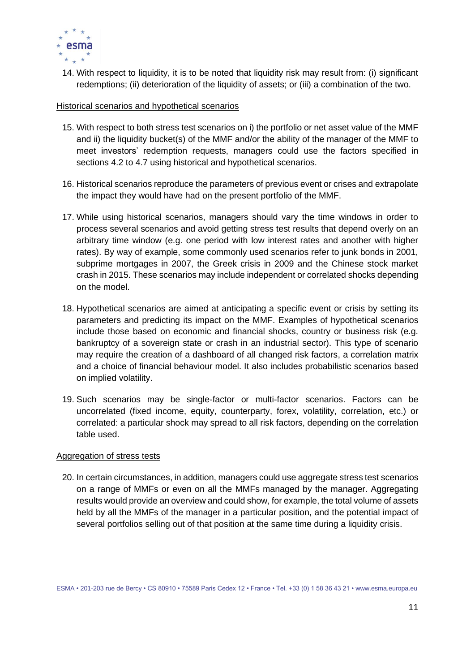

14. With respect to liquidity, it is to be noted that liquidity risk may result from: (i) significant redemptions; (ii) deterioration of the liquidity of assets; or (iii) a combination of the two.

#### Historical scenarios and hypothetical scenarios

- 15. With respect to both stress test scenarios on i) the portfolio or net asset value of the MMF and ii) the liquidity bucket(s) of the MMF and/or the ability of the manager of the MMF to meet investors' redemption requests, managers could use the factors specified in sections 4.2 to 4.7 using historical and hypothetical scenarios.
- 16. Historical scenarios reproduce the parameters of previous event or crises and extrapolate the impact they would have had on the present portfolio of the MMF.
- 17. While using historical scenarios, managers should vary the time windows in order to process several scenarios and avoid getting stress test results that depend overly on an arbitrary time window (e.g. one period with low interest rates and another with higher rates). By way of example, some commonly used scenarios refer to junk bonds in 2001, subprime mortgages in 2007, the Greek crisis in 2009 and the Chinese stock market crash in 2015. These scenarios may include independent or correlated shocks depending on the model.
- 18. Hypothetical scenarios are aimed at anticipating a specific event or crisis by setting its parameters and predicting its impact on the MMF. Examples of hypothetical scenarios include those based on economic and financial shocks, country or business risk (e.g. bankruptcy of a sovereign state or crash in an industrial sector). This type of scenario may require the creation of a dashboard of all changed risk factors, a correlation matrix and a choice of financial behaviour model. It also includes probabilistic scenarios based on implied volatility.
- 19. Such scenarios may be single-factor or multi-factor scenarios. Factors can be uncorrelated (fixed income, equity, counterparty, forex, volatility, correlation, etc.) or correlated: a particular shock may spread to all risk factors, depending on the correlation table used.

#### Aggregation of stress tests

20. In certain circumstances, in addition, managers could use aggregate stress test scenarios on a range of MMFs or even on all the MMFs managed by the manager. Aggregating results would provide an overview and could show, for example, the total volume of assets held by all the MMFs of the manager in a particular position, and the potential impact of several portfolios selling out of that position at the same time during a liquidity crisis.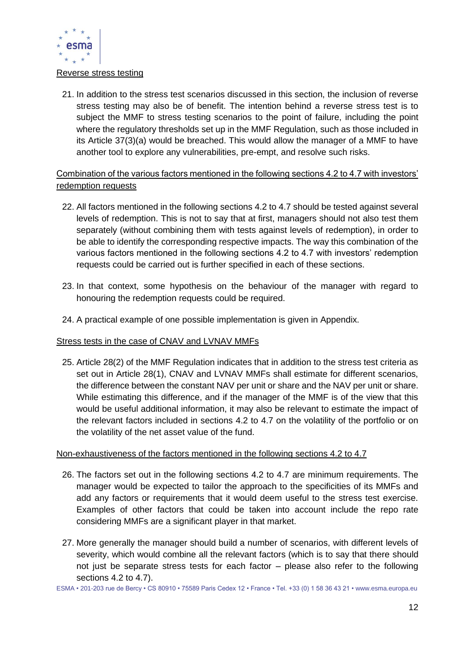

#### Reverse stress testing

21. In addition to the stress test scenarios discussed in this section, the inclusion of reverse stress testing may also be of benefit. The intention behind a reverse stress test is to subject the MMF to stress testing scenarios to the point of failure, including the point where the regulatory thresholds set up in the MMF Regulation, such as those included in its Article 37(3)(a) would be breached. This would allow the manager of a MMF to have another tool to explore any vulnerabilities, pre-empt, and resolve such risks.

Combination of the various factors mentioned in the following sections 4.2 to 4.7 with investors' redemption requests

- 22. All factors mentioned in the following sections 4.2 to 4.7 should be tested against several levels of redemption. This is not to say that at first, managers should not also test them separately (without combining them with tests against levels of redemption), in order to be able to identify the corresponding respective impacts. The way this combination of the various factors mentioned in the following sections 4.2 to 4.7 with investors' redemption requests could be carried out is further specified in each of these sections.
- 23. In that context, some hypothesis on the behaviour of the manager with regard to honouring the redemption requests could be required.
- 24. A practical example of one possible implementation is given in Appendix.

#### Stress tests in the case of CNAV and LVNAV MMFs

25. Article 28(2) of the MMF Regulation indicates that in addition to the stress test criteria as set out in Article 28(1), CNAV and LVNAV MMFs shall estimate for different scenarios, the difference between the constant NAV per unit or share and the NAV per unit or share. While estimating this difference, and if the manager of the MMF is of the view that this would be useful additional information, it may also be relevant to estimate the impact of the relevant factors included in sections 4.2 to 4.7 on the volatility of the portfolio or on the volatility of the net asset value of the fund.

#### Non-exhaustiveness of the factors mentioned in the following sections 4.2 to 4.7

- 26. The factors set out in the following sections 4.2 to 4.7 are minimum requirements. The manager would be expected to tailor the approach to the specificities of its MMFs and add any factors or requirements that it would deem useful to the stress test exercise. Examples of other factors that could be taken into account include the repo rate considering MMFs are a significant player in that market.
- 27. More generally the manager should build a number of scenarios, with different levels of severity, which would combine all the relevant factors (which is to say that there should not just be separate stress tests for each factor – please also refer to the following sections 4.2 to 4.7).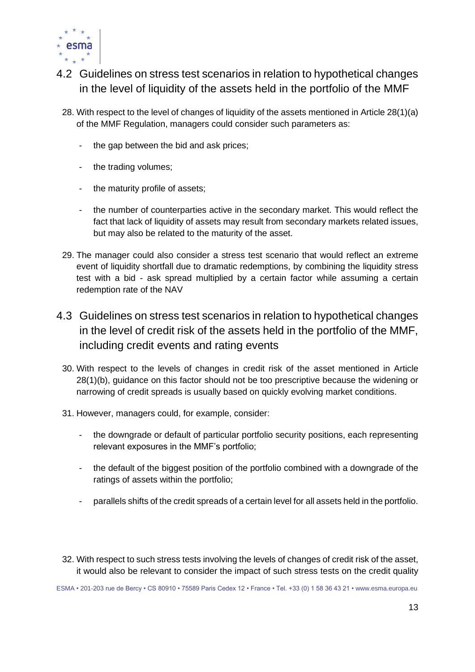

- <span id="page-12-0"></span>4.2 Guidelines on stress test scenarios in relation to hypothetical changes in the level of liquidity of the assets held in the portfolio of the MMF
	- 28. With respect to the level of changes of liquidity of the assets mentioned in Article 28(1)(a) of the MMF Regulation, managers could consider such parameters as:
		- the gap between the bid and ask prices;
		- the trading volumes;
		- the maturity profile of assets;
		- the number of counterparties active in the secondary market. This would reflect the fact that lack of liquidity of assets may result from secondary markets related issues, but may also be related to the maturity of the asset.
	- 29. The manager could also consider a stress test scenario that would reflect an extreme event of liquidity shortfall due to dramatic redemptions, by combining the liquidity stress test with a bid - ask spread multiplied by a certain factor while assuming a certain redemption rate of the NAV
- <span id="page-12-1"></span>4.3 Guidelines on stress test scenarios in relation to hypothetical changes in the level of credit risk of the assets held in the portfolio of the MMF, including credit events and rating events
	- 30. With respect to the levels of changes in credit risk of the asset mentioned in Article 28(1)(b), guidance on this factor should not be too prescriptive because the widening or narrowing of credit spreads is usually based on quickly evolving market conditions.
	- 31. However, managers could, for example, consider:
		- the downgrade or default of particular portfolio security positions, each representing relevant exposures in the MMF's portfolio;
		- the default of the biggest position of the portfolio combined with a downgrade of the ratings of assets within the portfolio;
		- parallels shifts of the credit spreads of a certain level for all assets held in the portfolio.
	- 32. With respect to such stress tests involving the levels of changes of credit risk of the asset, it would also be relevant to consider the impact of such stress tests on the credit quality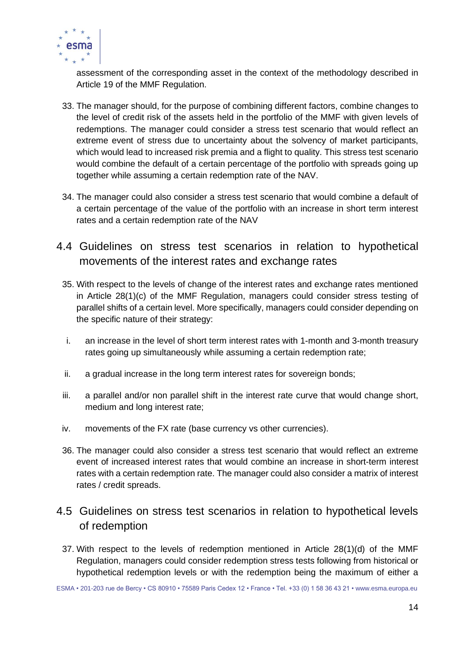

assessment of the corresponding asset in the context of the methodology described in Article 19 of the MMF Regulation.

- 33. The manager should, for the purpose of combining different factors, combine changes to the level of credit risk of the assets held in the portfolio of the MMF with given levels of redemptions. The manager could consider a stress test scenario that would reflect an extreme event of stress due to uncertainty about the solvency of market participants, which would lead to increased risk premia and a flight to quality. This stress test scenario would combine the default of a certain percentage of the portfolio with spreads going up together while assuming a certain redemption rate of the NAV.
- 34. The manager could also consider a stress test scenario that would combine a default of a certain percentage of the value of the portfolio with an increase in short term interest rates and a certain redemption rate of the NAV

### <span id="page-13-0"></span>4.4 Guidelines on stress test scenarios in relation to hypothetical movements of the interest rates and exchange rates

- 35. With respect to the levels of change of the interest rates and exchange rates mentioned in Article 28(1)(c) of the MMF Regulation, managers could consider stress testing of parallel shifts of a certain level. More specifically, managers could consider depending on the specific nature of their strategy:
- i. an increase in the level of short term interest rates with 1-month and 3-month treasury rates going up simultaneously while assuming a certain redemption rate;
- ii. a gradual increase in the long term interest rates for sovereign bonds;
- iii. a parallel and/or non parallel shift in the interest rate curve that would change short, medium and long interest rate;
- iv. movements of the FX rate (base currency vs other currencies).
- 36. The manager could also consider a stress test scenario that would reflect an extreme event of increased interest rates that would combine an increase in short-term interest rates with a certain redemption rate. The manager could also consider a matrix of interest rates / credit spreads.

### <span id="page-13-1"></span>4.5 Guidelines on stress test scenarios in relation to hypothetical levels of redemption

37. With respect to the levels of redemption mentioned in Article 28(1)(d) of the MMF Regulation, managers could consider redemption stress tests following from historical or hypothetical redemption levels or with the redemption being the maximum of either a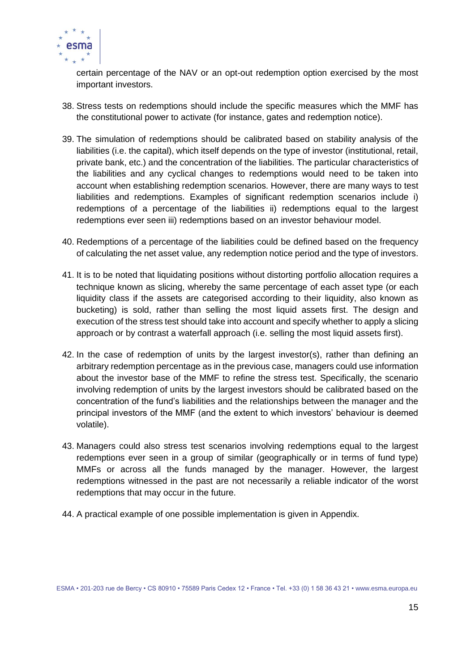

certain percentage of the NAV or an opt-out redemption option exercised by the most important investors.

- 38. Stress tests on redemptions should include the specific measures which the MMF has the constitutional power to activate (for instance, gates and redemption notice).
- 39. The simulation of redemptions should be calibrated based on stability analysis of the liabilities (i.e. the capital), which itself depends on the type of investor (institutional, retail, private bank, etc.) and the concentration of the liabilities. The particular characteristics of the liabilities and any cyclical changes to redemptions would need to be taken into account when establishing redemption scenarios. However, there are many ways to test liabilities and redemptions. Examples of significant redemption scenarios include i) redemptions of a percentage of the liabilities ii) redemptions equal to the largest redemptions ever seen iii) redemptions based on an investor behaviour model.
- 40. Redemptions of a percentage of the liabilities could be defined based on the frequency of calculating the net asset value, any redemption notice period and the type of investors.
- 41. It is to be noted that liquidating positions without distorting portfolio allocation requires a technique known as slicing, whereby the same percentage of each asset type (or each liquidity class if the assets are categorised according to their liquidity, also known as bucketing) is sold, rather than selling the most liquid assets first. The design and execution of the stress test should take into account and specify whether to apply a slicing approach or by contrast a waterfall approach (i.e. selling the most liquid assets first).
- 42. In the case of redemption of units by the largest investor(s), rather than defining an arbitrary redemption percentage as in the previous case, managers could use information about the investor base of the MMF to refine the stress test. Specifically, the scenario involving redemption of units by the largest investors should be calibrated based on the concentration of the fund's liabilities and the relationships between the manager and the principal investors of the MMF (and the extent to which investors' behaviour is deemed volatile).
- 43. Managers could also stress test scenarios involving redemptions equal to the largest redemptions ever seen in a group of similar (geographically or in terms of fund type) MMFs or across all the funds managed by the manager. However, the largest redemptions witnessed in the past are not necessarily a reliable indicator of the worst redemptions that may occur in the future.
- 44. A practical example of one possible implementation is given in Appendix.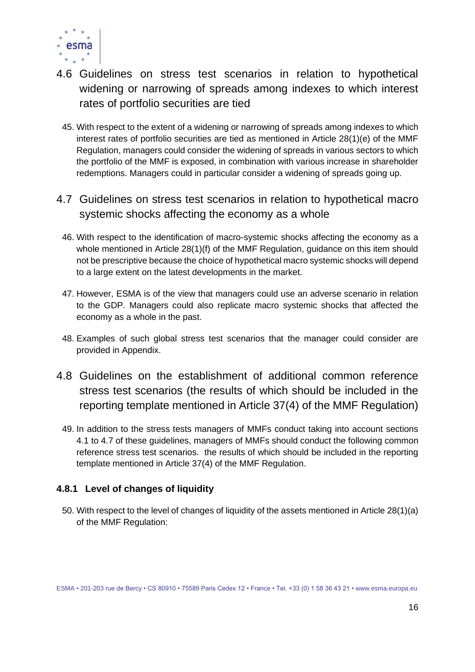

- <span id="page-15-0"></span>4.6 Guidelines on stress test scenarios in relation to hypothetical widening or narrowing of spreads among indexes to which interest rates of portfolio securities are tied
	- 45. With respect to the extent of a widening or narrowing of spreads among indexes to which interest rates of portfolio securities are tied as mentioned in Article 28(1)(e) of the MMF Regulation, managers could consider the widening of spreads in various sectors to which the portfolio of the MMF is exposed, in combination with various increase in shareholder redemptions. Managers could in particular consider a widening of spreads going up.
- <span id="page-15-1"></span>4.7 Guidelines on stress test scenarios in relation to hypothetical macro systemic shocks affecting the economy as a whole
	- 46. With respect to the identification of macro-systemic shocks affecting the economy as a whole mentioned in Article 28(1)(f) of the MMF Regulation, guidance on this item should not be prescriptive because the choice of hypothetical macro systemic shocks will depend to a large extent on the latest developments in the market.
	- 47. However, ESMA is of the view that managers could use an adverse scenario in relation to the GDP. Managers could also replicate macro systemic shocks that affected the economy as a whole in the past.
	- 48. Examples of such global stress test scenarios that the manager could consider are provided in Appendix.
- <span id="page-15-2"></span>4.8 Guidelines on the establishment of additional common reference stress test scenarios (the results of which should be included in the reporting template mentioned in Article 37(4) of the MMF Regulation)
	- 49. In addition to the stress tests managers of MMFs conduct taking into account sections 4.1 to 4.7 of these guidelines, managers of MMFs should conduct the following common reference stress test scenarios. the results of which should be included in the reporting template mentioned in Article 37(4) of the MMF Regulation.

#### <span id="page-15-3"></span>**4.8.1 Level of changes of liquidity**

50. With respect to the level of changes of liquidity of the assets mentioned in Article 28(1)(a) of the MMF Regulation: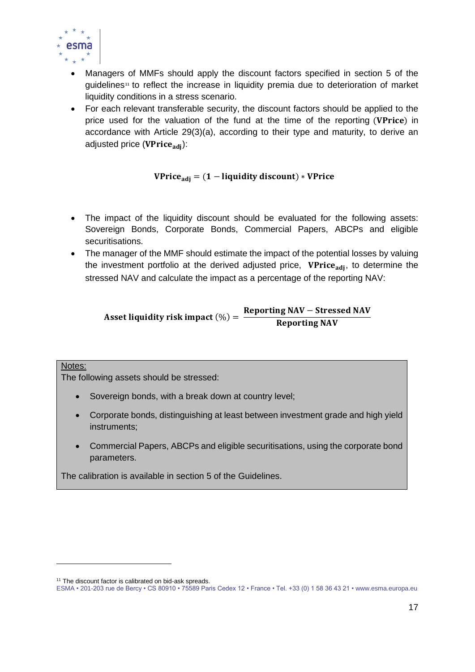

- Managers of MMFs should apply the discount factors specified in section 5 of the guidelines<sup>11</sup> to reflect the increase in liquidity premia due to deterioration of market liquidity conditions in a stress scenario.
- For each relevant transferable security, the discount factors should be applied to the price used for the valuation of the fund at the time of the reporting  $(VPrice)$  in accordance with Article 29(3)(a), according to their type and maturity, to derive an adjusted price ( $VP$ rice $_{\text{adi}}$ ):

#### $VPrice_{\text{adj}} = (1 - liquidity discount) * VPrice$

- The impact of the liquidity discount should be evaluated for the following assets: Sovereign Bonds, Corporate Bonds, Commercial Papers, ABCPs and eligible securitisations.
- The manager of the MMF should estimate the impact of the potential losses by valuing the investment portfolio at the derived adjusted price,  $VPrice_{\text{add}}$ , to determine the stressed NAV and calculate the impact as a percentage of the reporting NAV:

Asset liquidity risk impact (
$$
\% = \frac{\text{Reporting NAV} - \text{Stressed NAV}}{\text{Reporting NAV}}
$$

#### Notes:

The following assets should be stressed:

- Sovereign bonds, with a break down at country level;
- Corporate bonds, distinguishing at least between investment grade and high yield instruments;
- Commercial Papers, ABCPs and eligible securitisations, using the corporate bond parameters.

The calibration is available in section 5 of the Guidelines.

<sup>&</sup>lt;sup>11</sup> The discount factor is calibrated on bid-ask spreads.

ESMA • 201-203 rue de Bercy • CS 80910 • 75589 Paris Cedex 12 • France • Tel. +33 (0) 1 58 36 43 21 • www.esma.europa.eu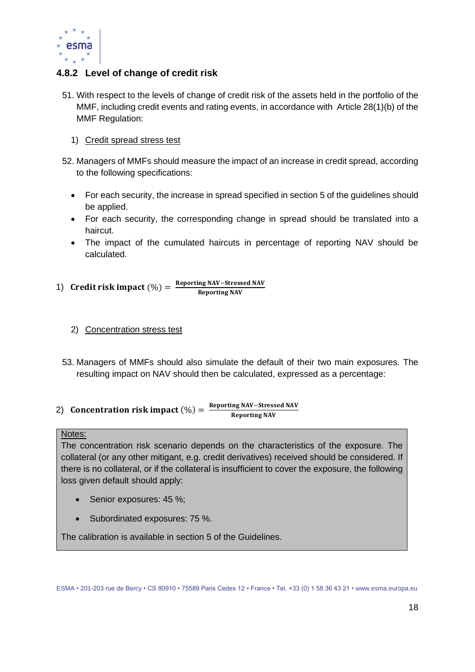

#### <span id="page-17-0"></span>**4.8.2 Level of change of credit risk**

- 51. With respect to the levels of change of credit risk of the assets held in the portfolio of the MMF, including credit events and rating events, in accordance with Article 28(1)(b) of the MMF Regulation:
	- 1) Credit spread stress test
- 52. Managers of MMFs should measure the impact of an increase in credit spread, according to the following specifications:
	- For each security, the increase in spread specified in section 5 of the guidelines should be applied.
	- For each security, the corresponding change in spread should be translated into a haircut.
	- The impact of the cumulated haircuts in percentage of reporting NAV should be calculated.
- 1) Credit risk impact  $(\%) = \frac{\text{Reporting NAV-Stressed NAV}}{\text{Dense}{\text{Max}}$ **Reporting NAV** 
	- 2) Concentration stress test
	- 53. Managers of MMFs should also simulate the default of their two main exposures. The resulting impact on NAV should then be calculated, expressed as a percentage:

#### 2) Concentration risk impact  $(\%) = \frac{\text{Reporting NAV-Stressed NAV}}{\text{Ragnetic NAV}}$ **Reporting NAV**

#### Notes:

The concentration risk scenario depends on the characteristics of the exposure. The collateral (or any other mitigant, e.g. credit derivatives) received should be considered. If there is no collateral, or if the collateral is insufficient to cover the exposure, the following loss given default should apply:

- Senior exposures: 45 %;
- Subordinated exposures: 75 %.

The calibration is available in section 5 of the Guidelines.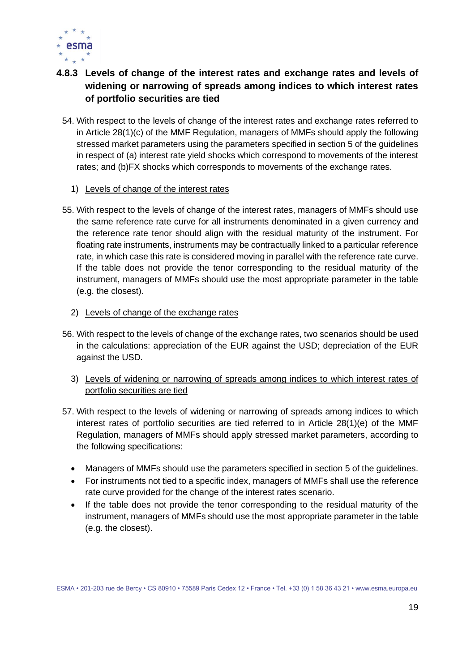

### <span id="page-18-0"></span>**4.8.3 Levels of change of the interest rates and exchange rates and levels of widening or narrowing of spreads among indices to which interest rates of portfolio securities are tied**

- 54. With respect to the levels of change of the interest rates and exchange rates referred to in Article 28(1)(c) of the MMF Regulation, managers of MMFs should apply the following stressed market parameters using the parameters specified in section 5 of the guidelines in respect of (a) interest rate yield shocks which correspond to movements of the interest rates; and (b)FX shocks which corresponds to movements of the exchange rates.
	- 1) Levels of change of the interest rates
- 55. With respect to the levels of change of the interest rates, managers of MMFs should use the same reference rate curve for all instruments denominated in a given currency and the reference rate tenor should align with the residual maturity of the instrument. For floating rate instruments, instruments may be contractually linked to a particular reference rate, in which case this rate is considered moving in parallel with the reference rate curve. If the table does not provide the tenor corresponding to the residual maturity of the instrument, managers of MMFs should use the most appropriate parameter in the table (e.g. the closest).
	- 2) Levels of change of the exchange rates
- 56. With respect to the levels of change of the exchange rates, two scenarios should be used in the calculations: appreciation of the EUR against the USD; depreciation of the EUR against the USD.
	- 3) Levels of widening or narrowing of spreads among indices to which interest rates of portfolio securities are tied
- 57. With respect to the levels of widening or narrowing of spreads among indices to which interest rates of portfolio securities are tied referred to in Article 28(1)(e) of the MMF Regulation, managers of MMFs should apply stressed market parameters, according to the following specifications:
	- Managers of MMFs should use the parameters specified in section 5 of the guidelines.
	- For instruments not tied to a specific index, managers of MMFs shall use the reference rate curve provided for the change of the interest rates scenario.
	- If the table does not provide the tenor corresponding to the residual maturity of the instrument, managers of MMFs should use the most appropriate parameter in the table (e.g. the closest).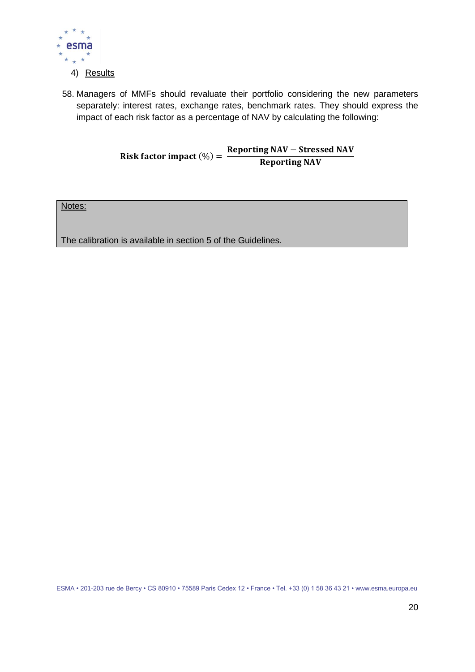

58. Managers of MMFs should revaluate their portfolio considering the new parameters separately: interest rates, exchange rates, benchmark rates. They should express the impact of each risk factor as a percentage of NAV by calculating the following:

> Risk factor impact  $(\%) =$ Reporting NAV - Stressed NAV **Reporting NAV**

Notes:

The calibration is available in section 5 of the Guidelines.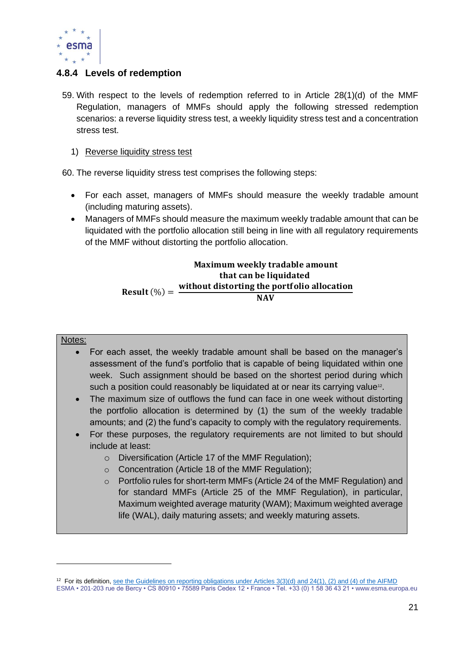

#### <span id="page-20-0"></span>**4.8.4 Levels of redemption**

59. With respect to the levels of redemption referred to in Article 28(1)(d) of the MMF Regulation, managers of MMFs should apply the following stressed redemption scenarios: a reverse liquidity stress test, a weekly liquidity stress test and a concentration stress test.

#### 1) Reverse liquidity stress test

60. The reverse liquidity stress test comprises the following steps:

- For each asset, managers of MMFs should measure the weekly tradable amount (including maturing assets).
- Managers of MMFs should measure the maximum weekly tradable amount that can be liquidated with the portfolio allocation still being in line with all regulatory requirements of the MMF without distorting the portfolio allocation.

#### $Result (%) =$ Maximum weekly tradable amount that can be liquidated without distorting the portfolio allocation **NAV**

#### Notes:

- For each asset, the weekly tradable amount shall be based on the manager's assessment of the fund's portfolio that is capable of being liquidated within one week. Such assignment should be based on the shortest period during which such a position could reasonably be liquidated at or near its carrying value<sup>12</sup>.
- The maximum size of outflows the fund can face in one week without distorting the portfolio allocation is determined by (1) the sum of the weekly tradable amounts; and (2) the fund's capacity to comply with the regulatory requirements.
- For these purposes, the regulatory requirements are not limited to but should include at least:
	- o Diversification (Article 17 of the MMF Regulation);
	- o Concentration (Article 18 of the MMF Regulation);
	- o Portfolio rules for short-term MMFs (Article 24 of the MMF Regulation) and for standard MMFs (Article 25 of the MMF Regulation), in particular, Maximum weighted average maturity (WAM); Maximum weighted average life (WAL), daily maturing assets; and weekly maturing assets.

ESMA • 201-203 rue de Bercy • CS 80910 • 75589 Paris Cedex 12 • France • Tel. +33 (0) 1 58 36 43 21 • www.esma.europa.eu <sup>12</sup> For its definition, see th[e Guidelines on reporting obligations under Articles 3\(3\)\(d\) and 24\(1\), \(2\) and \(4\) of the AIFMD](https://www.esma.europa.eu/system/files_force/library/2015/11/2014-869.pdf?download=1)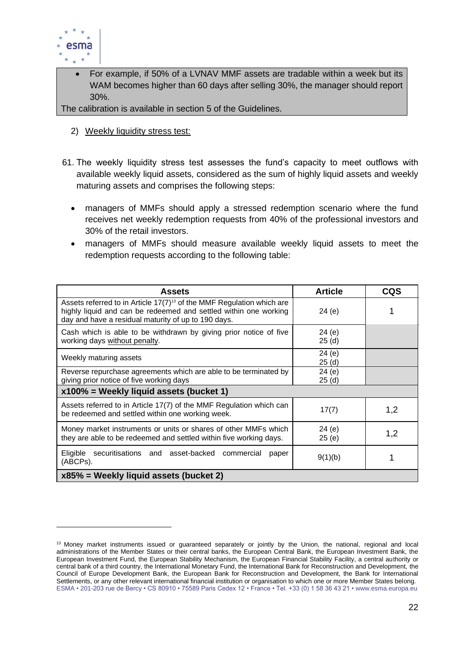

• For example, if 50% of a LVNAV MMF assets are tradable within a week but its WAM becomes higher than 60 days after selling 30%, the manager should report 30%.

The calibration is available in section 5 of the Guidelines.

- 2) Weekly liquidity stress test:
- 61. The weekly liquidity stress test assesses the fund's capacity to meet outflows with available weekly liquid assets, considered as the sum of highly liquid assets and weekly maturing assets and comprises the following steps:
	- managers of MMFs should apply a stressed redemption scenario where the fund receives net weekly redemption requests from 40% of the professional investors and 30% of the retail investors.
	- managers of MMFs should measure available weekly liquid assets to meet the redemption requests according to the following table:

| <b>Assets</b>                                                                                                                                                                                         | <b>Article</b>  | CQS |
|-------------------------------------------------------------------------------------------------------------------------------------------------------------------------------------------------------|-----------------|-----|
| Assets referred to in Article $17(7)^{13}$ of the MMF Regulation which are<br>highly liquid and can be redeemed and settled within one working<br>day and have a residual maturity of up to 190 days. | 24 (e)          |     |
| Cash which is able to be withdrawn by giving prior notice of five<br>working days without penalty.                                                                                                    | 24(e)<br>25(d)  |     |
| Weekly maturing assets                                                                                                                                                                                | 24(e)<br>25(d)  |     |
| Reverse repurchase agreements which are able to be terminated by<br>giving prior notice of five working days                                                                                          | 24 (e)<br>25(d) |     |
| x100% = Weekly liquid assets (bucket 1)                                                                                                                                                               |                 |     |
| Assets referred to in Article 17(7) of the MMF Regulation which can<br>be redeemed and settled within one working week.                                                                               | 17(7)           | 1,2 |
| Money market instruments or units or shares of other MMFs which<br>they are able to be redeemed and settled within five working days.                                                                 | 24(e)<br>25(e)  | 1,2 |
| securitisations and asset-backed commercial<br>Eligible<br>paper<br>(ABCPs).                                                                                                                          | 9(1)(b)         |     |
| x85% = Weekly liquid assets (bucket 2)                                                                                                                                                                |                 |     |

ESMA • 201-203 rue de Bercy • CS 80910 • 75589 Paris Cedex 12 • France • Tel. +33 (0) 1 58 36 43 21 • www.esma.europa.eu <sup>13</sup> Money market instruments issued or guaranteed separately or jointly by the Union, the national, regional and local administrations of the Member States or their central banks, the European Central Bank, the European Investment Bank, the European Investment Fund, the European Stability Mechanism, the European Financial Stability Facility, a central authority or central bank of a third country, the International Monetary Fund, the International Bank for Reconstruction and Development, the Council of Europe Development Bank, the European Bank for Reconstruction and Development, the Bank for International Settlements, or any other relevant international financial institution or organisation to which one or more Member States belong.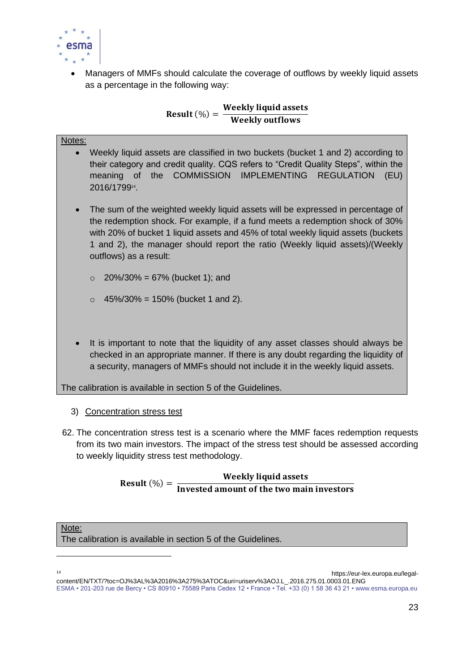

 $\overline{\mathsf{N}}$ 

• Managers of MMFs should calculate the coverage of outflows by weekly liquid assets as a percentage in the following way:

#### **Result**  $(\%) =$ **Weekly liquid assets Weekly outflows**

| otes: |              |  |                                                                                     |  |
|-------|--------------|--|-------------------------------------------------------------------------------------|--|
|       |              |  | Weekly liquid assets are classified in two buckets (bucket 1 and 2) according to    |  |
|       |              |  | their category and credit quality. CQS refers to "Credit Quality Steps", within the |  |
|       |              |  | meaning of the COMMISSION IMPLEMENTING REGULATION (EU)                              |  |
|       | 2016/179914. |  |                                                                                     |  |
|       |              |  |                                                                                     |  |

- The sum of the weighted weekly liquid assets will be expressed in percentage of the redemption shock. For example, if a fund meets a redemption shock of 30% with 20% of bucket 1 liquid assets and 45% of total weekly liquid assets (buckets 1 and 2), the manager should report the ratio (Weekly liquid assets)/(Weekly outflows) as a result:
	- $\circ$  20%/30% = 67% (bucket 1); and
	- $\circ$  45%/30% = 150% (bucket 1 and 2).
- It is important to note that the liquidity of any asset classes should always be checked in an appropriate manner. If there is any doubt regarding the liquidity of a security, managers of MMFs should not include it in the weekly liquid assets.

The calibration is available in section 5 of the Guidelines.

- 3) Concentration stress test
- 62. The concentration stress test is a scenario where the MMF faces redemption requests from its two main investors. The impact of the stress test should be assessed according to weekly liquidity stress test methodology.

#### Result  $(\% )$  = **Weekly liquid assets Invested amount of the two main investors**

#### Note:

The calibration is available in section 5 of the Guidelines.

<sup>14</sup> https://eur-lex.europa.eu/legal-

ESMA • 201-203 rue de Bercy • CS 80910 • 75589 Paris Cedex 12 • France • Tel. +33 (0) 1 58 36 43 21 • www.esma.europa.eu content/EN/TXT/?toc=OJ%3AL%3A2016%3A275%3ATOC&uri=uriserv%3AOJ.L\_.2016.275.01.0003.01.ENG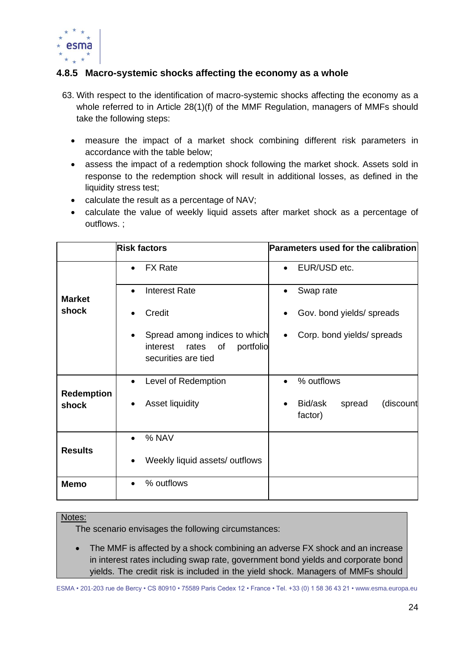

#### <span id="page-23-0"></span>**4.8.5 Macro-systemic shocks affecting the economy as a whole**

- 63. With respect to the identification of macro-systemic shocks affecting the economy as a whole referred to in Article 28(1)(f) of the MMF Regulation, managers of MMFs should take the following steps:
	- measure the impact of a market shock combining different risk parameters in accordance with the table below;
	- assess the impact of a redemption shock following the market shock. Assets sold in response to the redemption shock will result in additional losses, as defined in the liquidity stress test;
	- calculate the result as a percentage of NAV;
	- calculate the value of weekly liquid assets after market shock as a percentage of outflows. ;

|                            | <b>Risk factors</b>                                                                          | Parameters used for the calibration       |
|----------------------------|----------------------------------------------------------------------------------------------|-------------------------------------------|
|                            | <b>FX Rate</b><br>$\bullet$                                                                  | EUR/USD etc.                              |
| <b>Market</b>              | <b>Interest Rate</b>                                                                         | Swap rate                                 |
| shock                      | Credit                                                                                       | Gov. bond yields/ spreads                 |
|                            | Spread among indices to which<br>portfolio<br>interest<br>of<br>rates<br>securities are tied | Corp. bond yields/spreads                 |
|                            | Level of Redemption                                                                          | % outflows                                |
| <b>Redemption</b><br>shock | Asset liquidity                                                                              | Bid/ask<br>(discount<br>spread<br>factor) |
|                            | % NAV                                                                                        |                                           |
| <b>Results</b>             | Weekly liquid assets/ outflows                                                               |                                           |
| <b>Memo</b>                | % outflows                                                                                   |                                           |

#### Notes:

The scenario envisages the following circumstances:

The MMF is affected by a shock combining an adverse FX shock and an increase in interest rates including swap rate, government bond yields and corporate bond yields. The credit risk is included in the yield shock. Managers of MMFs should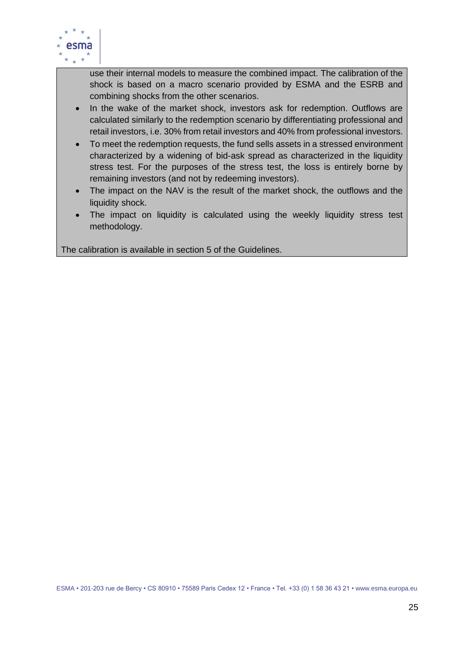

use their internal models to measure the combined impact. The calibration of the shock is based on a macro scenario provided by ESMA and the ESRB and combining shocks from the other scenarios.

- In the wake of the market shock, investors ask for redemption. Outflows are calculated similarly to the redemption scenario by differentiating professional and retail investors, i.e. 30% from retail investors and 40% from professional investors.
- To meet the redemption requests, the fund sells assets in a stressed environment characterized by a widening of bid-ask spread as characterized in the liquidity stress test. For the purposes of the stress test, the loss is entirely borne by remaining investors (and not by redeeming investors).
- The impact on the NAV is the result of the market shock, the outflows and the liquidity shock.
- The impact on liquidity is calculated using the weekly liquidity stress test methodology.

The calibration is available in section 5 of the Guidelines.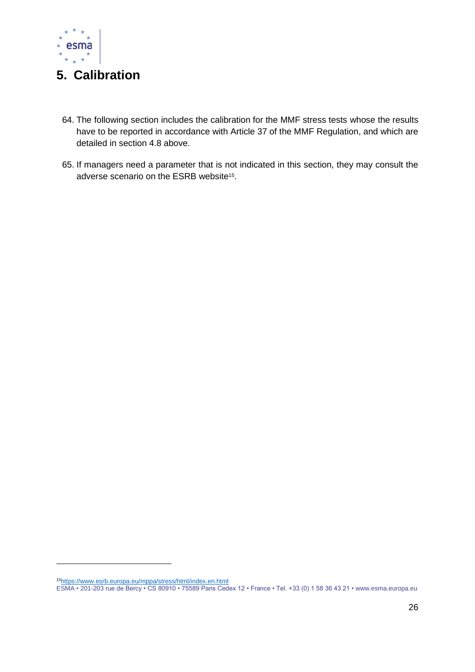

### <span id="page-25-0"></span>**5. Calibration**

- 64. The following section includes the calibration for the MMF stress tests whose the results have to be reported in accordance with Article 37 of the MMF Regulation, and which are detailed in section 4.8 above.
- 65. If managers need a parameter that is not indicated in this section, they may consult the adverse scenario on the ESRB website<sup>15</sup> .

<sup>15</sup><https://www.esrb.europa.eu/mppa/stress/html/index.en.html>

ESMA • 201-203 rue de Bercy • CS 80910 • 75589 Paris Cedex 12 • France • Tel. +33 (0) 1 58 36 43 21 • www.esma.europa.eu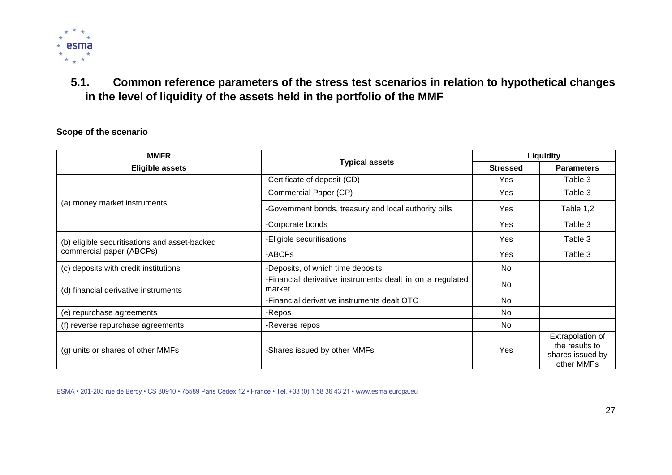

### **5.1. Common reference parameters of the stress test scenarios in relation to hypothetical changes in the level of liquidity of the assets held in the portfolio of the MMF**

#### **Scope of the scenario**

<span id="page-26-0"></span>

| <b>MMFR</b>                                   |                                                                     | <b>Liquidity</b> |                                                                      |  |
|-----------------------------------------------|---------------------------------------------------------------------|------------------|----------------------------------------------------------------------|--|
| <b>Eligible assets</b>                        | <b>Typical assets</b>                                               | <b>Stressed</b>  | <b>Parameters</b>                                                    |  |
|                                               | -Certificate of deposit (CD)                                        | Yes              | Table 3                                                              |  |
|                                               | -Commercial Paper (CP)                                              | Yes              | Table 3                                                              |  |
| (a) money market instruments                  | -Government bonds, treasury and local authority bills               | Yes              | Table 1,2                                                            |  |
|                                               | -Corporate bonds                                                    | Yes              | Table 3                                                              |  |
| (b) eligible securitisations and asset-backed | -Eligible securitisations                                           | Yes              | Table 3                                                              |  |
| commercial paper (ABCPs)                      | -ABCPs                                                              | Yes              | Table 3                                                              |  |
| (c) deposits with credit institutions         | -Deposits, of which time deposits                                   | No               |                                                                      |  |
| (d) financial derivative instruments          | -Financial derivative instruments dealt in on a regulated<br>market | No               |                                                                      |  |
|                                               | -Financial derivative instruments dealt OTC                         | No.              |                                                                      |  |
| (e) repurchase agreements                     | -Repos                                                              | No.              |                                                                      |  |
| (f) reverse repurchase agreements             | -Reverse repos                                                      | No               |                                                                      |  |
| (g) units or shares of other MMFs             | -Shares issued by other MMFs                                        | Yes              | Extrapolation of<br>the results to<br>shares issued by<br>other MMFs |  |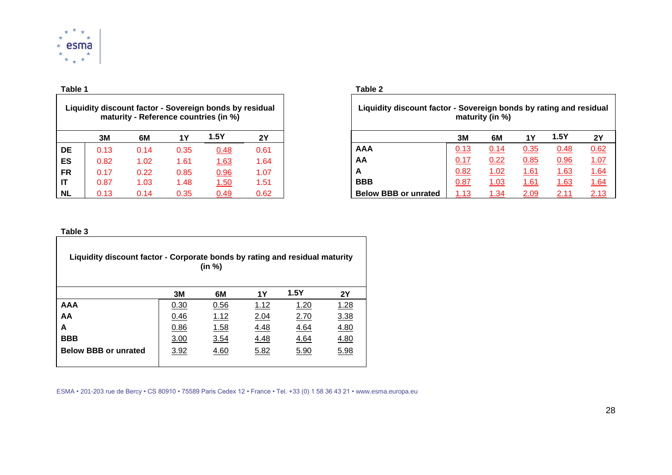

#### **Table 1 Table 2**

| Liquidity discount factor - Sovereign bonds by residual<br>maturity - Reference countries (in %) |      |      |      |      |      |  |  |  |  |  |
|--------------------------------------------------------------------------------------------------|------|------|------|------|------|--|--|--|--|--|
|                                                                                                  | 3M   | 6M   | 1Y   | 1.5Y | 2Y   |  |  |  |  |  |
| DE.                                                                                              | 0.13 | 0.14 | 0.35 | 0.48 | 0.61 |  |  |  |  |  |
| ES                                                                                               | 0.82 | 1.02 | 1.61 | 1.63 | 1.64 |  |  |  |  |  |
| <b>FR</b>                                                                                        | 0.17 | 0.22 | 0.85 | 0.96 | 1.07 |  |  |  |  |  |
| IΤ                                                                                               | 0.87 | 1.03 | 1.48 | 1.50 | 1.51 |  |  |  |  |  |
|                                                                                                  | 0.13 | 0.14 | 0.35 | 0.49 | 0.62 |  |  |  |  |  |

|      |      |      | Liquidity discount factor - Sovereign bonds by residual<br>maturity - Reference countries (in %) |      | Liquidity discount factor - Sovereign bonds by rating and residual |      | maturity (in $%$ ) |      |      |
|------|------|------|--------------------------------------------------------------------------------------------------|------|--------------------------------------------------------------------|------|--------------------|------|------|
| 3M   | 6M   | 1Υ   | 1.5Y                                                                                             | 2Y   |                                                                    | 3M   | 6M                 | 1Y   | 1.5Y |
| 0.13 | 0.14 | 0.35 | 0.48                                                                                             | 0.61 | <b>AAA</b>                                                         | 0.13 | 0.14               | 0.35 | 0.48 |
| 0.82 | 1.02 | 1.61 | 1.63                                                                                             | 1.64 | AA                                                                 | 0.17 | 0.22               | 0.85 | 0.96 |
| 0.17 | 0.22 | 0.85 | 0.96                                                                                             | 1.07 | A                                                                  | 0.82 | 1.02               | 1.61 | 1.63 |
| 0.87 | 1.03 | 1.48 | <u>1.50</u>                                                                                      | 1.51 | <b>BBB</b>                                                         | 0.87 | 1.03               | 1.61 | 1.63 |
| 0.13 | 0.14 | 0.35 | 0.49                                                                                             | 0.62 | <b>Below BBB or unrated</b>                                        | 1.13 | 1.34               | 2.09 | 2.11 |

#### **Table 3**

| Liquidity discount factor - Corporate bonds by rating and residual maturity<br>(in %) |      |      |      |      |      |  |  |  |  |  |
|---------------------------------------------------------------------------------------|------|------|------|------|------|--|--|--|--|--|
|                                                                                       | 3M   | 6M   | 1Y   | 1.5Y | 2Y   |  |  |  |  |  |
| <b>AAA</b>                                                                            | 0.30 | 0.56 | 1.12 | 1.20 | 1.28 |  |  |  |  |  |
| AA                                                                                    | 0.46 | 1.12 | 2.04 | 2.70 | 3.38 |  |  |  |  |  |
| А                                                                                     | 0.86 | 1.58 | 4.48 | 4.64 | 4.80 |  |  |  |  |  |
| <b>BBB</b>                                                                            | 3.00 | 3.54 | 4.48 | 4.64 | 4.80 |  |  |  |  |  |
| <b>Below BBB or unrated</b>                                                           | 3.92 | 4.60 | 5.82 | 5.90 | 5.98 |  |  |  |  |  |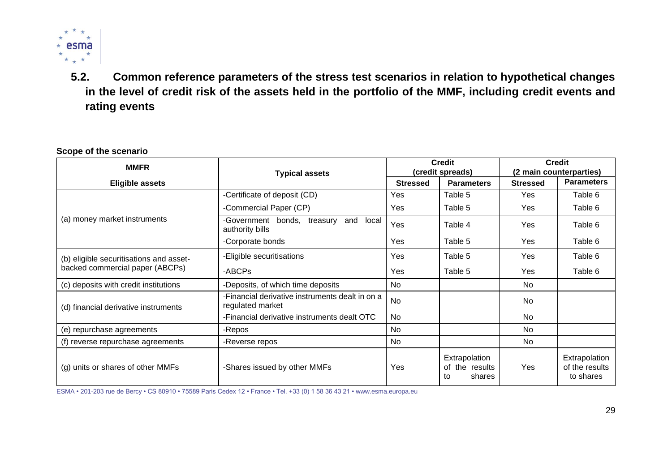

**5.2. Common reference parameters of the stress test scenarios in relation to hypothetical changes in the level of credit risk of the assets held in the portfolio of the MMF, including credit events and rating events**

<span id="page-28-0"></span>

| <b>MMFR</b>                             | <b>Typical assets</b>                                               |                 | <b>Credit</b><br>(credit spreads)               | <b>Credit</b><br>(2 main counterparties) |                                              |  |
|-----------------------------------------|---------------------------------------------------------------------|-----------------|-------------------------------------------------|------------------------------------------|----------------------------------------------|--|
| <b>Eligible assets</b>                  |                                                                     | <b>Stressed</b> | <b>Parameters</b>                               | <b>Stressed</b>                          | <b>Parameters</b>                            |  |
|                                         | -Certificate of deposit (CD)                                        | Yes             | Table 5                                         | <b>Yes</b>                               | Table 6                                      |  |
|                                         | -Commercial Paper (CP)                                              | Yes             | Table 5                                         | Yes                                      | Table 6                                      |  |
| (a) money market instruments            | -Government bonds, treasury<br>and<br>local<br>authority bills      | Yes             | Table 4                                         | Yes                                      | Table 6                                      |  |
|                                         | -Corporate bonds                                                    | Yes             | Table 5                                         | <b>Yes</b>                               | Table 6                                      |  |
| (b) eligible securitisations and asset- | -Eligible securitisations                                           | Yes             | Table 5                                         | Yes                                      | Table 6                                      |  |
| backed commercial paper (ABCPs)         | -ABCPs                                                              | Yes             | Table 5                                         | Yes                                      | Table 6                                      |  |
| (c) deposits with credit institutions   | -Deposits, of which time deposits                                   | No.             |                                                 | No                                       |                                              |  |
| (d) financial derivative instruments    | -Financial derivative instruments dealt in on a<br>regulated market | <b>No</b>       |                                                 | <b>No</b>                                |                                              |  |
|                                         | -Financial derivative instruments dealt OTC                         | No.             |                                                 | <b>No</b>                                |                                              |  |
| (e) repurchase agreements               | -Repos                                                              | No              |                                                 | <b>No</b>                                |                                              |  |
| (f) reverse repurchase agreements       | -Reverse repos                                                      | No.             |                                                 | No                                       |                                              |  |
| (g) units or shares of other MMFs       | -Shares issued by other MMFs                                        | Yes             | Extrapolation<br>of the results<br>shares<br>to | Yes                                      | Extrapolation<br>of the results<br>to shares |  |

**Scope of the scenario**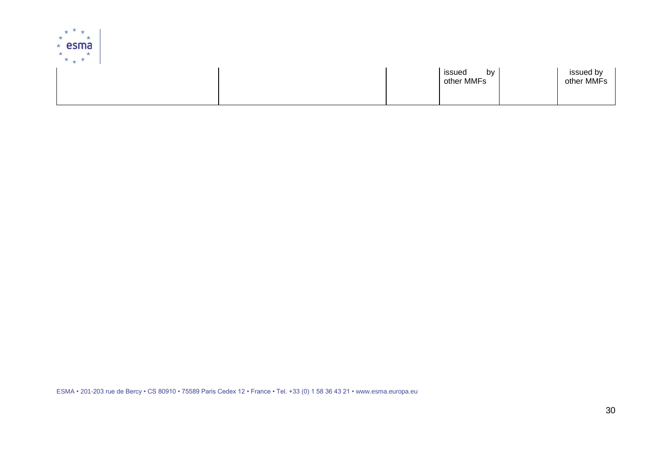

| ____ |  | issued<br>by<br>other MMFs | issued by<br>other MMFs |
|------|--|----------------------------|-------------------------|
|      |  |                            |                         |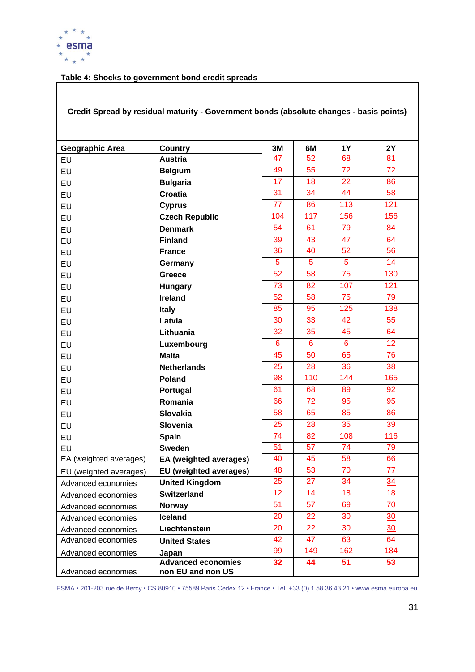

#### **Table 4: Shocks to government bond credit spreads**

| Credit Spread by residual maturity - Government bonds (absolute changes - basis points) |                                                |                |     |                 |                 |  |  |
|-----------------------------------------------------------------------------------------|------------------------------------------------|----------------|-----|-----------------|-----------------|--|--|
|                                                                                         |                                                |                |     |                 |                 |  |  |
| Geographic Area                                                                         | <b>Country</b>                                 | 3M             | 6M  | <b>1Y</b>       | <b>2Y</b>       |  |  |
| EU                                                                                      | <b>Austria</b>                                 | 47             | 52  | 68              | 81              |  |  |
| EU                                                                                      | <b>Belgium</b>                                 | 49             | 55  | 72              | 72              |  |  |
| EU                                                                                      | <b>Bulgaria</b>                                | 17             | 18  | 22              | 86              |  |  |
| EU                                                                                      | <b>Croatia</b>                                 | 31             | 34  | 44              | 58              |  |  |
| EU                                                                                      | <b>Cyprus</b>                                  | 77             | 86  | 113             | 121             |  |  |
| EU                                                                                      | <b>Czech Republic</b>                          | 104            | 117 | 156             | 156             |  |  |
| EU                                                                                      | <b>Denmark</b>                                 | 54             | 61  | 79              | 84              |  |  |
| EU                                                                                      | <b>Finland</b>                                 | 39             | 43  | 47              | 64              |  |  |
| EU                                                                                      | <b>France</b>                                  | 36             | 40  | 52              | 56              |  |  |
| EU                                                                                      | Germany                                        | $\overline{5}$ | 5   | 5               | 14              |  |  |
| EU                                                                                      | <b>Greece</b>                                  | 52             | 58  | 75              | 130             |  |  |
| EU                                                                                      | <b>Hungary</b>                                 | 73             | 82  | 107             | 121             |  |  |
| EU                                                                                      | <b>Ireland</b>                                 | 52             | 58  | 75              | 79              |  |  |
| EU                                                                                      | <b>Italy</b>                                   | 85             | 95  | 125             | 138             |  |  |
| EU                                                                                      | Latvia                                         | 30             | 33  | 42              | 55              |  |  |
| EU                                                                                      | Lithuania                                      | 32             | 35  | 45              | 64              |  |  |
| EU                                                                                      | Luxembourg                                     | 6              | 6   | $6\phantom{1}6$ | 12 <sub>2</sub> |  |  |
| EU                                                                                      | <b>Malta</b>                                   | 45             | 50  | 65              | 76              |  |  |
| EU                                                                                      | <b>Netherlands</b>                             | 25             | 28  | 36              | 38              |  |  |
| EU                                                                                      | <b>Poland</b>                                  | 98             | 110 | 144             | 165             |  |  |
| EU                                                                                      | Portugal                                       | 61             | 68  | 89              | 92              |  |  |
| EU                                                                                      | Romania                                        | 66             | 72  | 95              | 95              |  |  |
| EU                                                                                      | Slovakia                                       | 58             | 65  | 85              | 86              |  |  |
| EU                                                                                      | <b>Slovenia</b>                                | 25             | 28  | 35              | 39              |  |  |
| EU                                                                                      | Spain                                          | 74             | 82  | 108             | 116             |  |  |
| EU                                                                                      | <b>Sweden</b>                                  | 51             | 57  | 74              | 79              |  |  |
| EA (weighted averages)                                                                  | <b>EA</b> (weighted averages)                  | 40             | 45  | 58              | 66              |  |  |
| EU (weighted averages)                                                                  | EU (weighted averages)                         | 48             | 53  | 70              | 77              |  |  |
| Advanced economies                                                                      | <b>United Kingdom</b>                          | 25             | 27  | 34              | 34              |  |  |
| Advanced economies                                                                      | <b>Switzerland</b>                             | 12             | 14  | 18              | 18              |  |  |
| Advanced economies                                                                      | <b>Norway</b>                                  | 51             | 57  | 69              | 70              |  |  |
| Advanced economies                                                                      | Iceland                                        | 20             | 22  | 30              | 30              |  |  |
| Advanced economies                                                                      | Liechtenstein                                  | 20             | 22  | 30              | 30              |  |  |
| Advanced economies                                                                      | <b>United States</b>                           | 42             | 47  | 63              | 64              |  |  |
| Advanced economies                                                                      | Japan                                          | 99             | 149 | 162             | 184             |  |  |
| Advanced economies                                                                      | <b>Advanced economies</b><br>non EU and non US | 32             | 44  | 51              | 53              |  |  |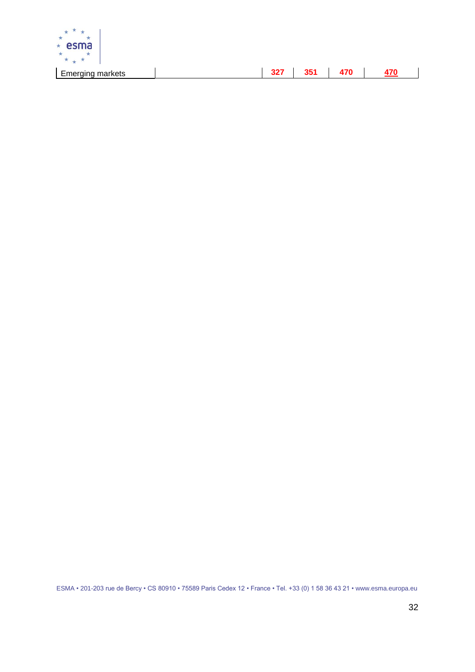

| --<br>$max = 1.848$<br>ں ر |  |  |  |
|----------------------------|--|--|--|
|                            |  |  |  |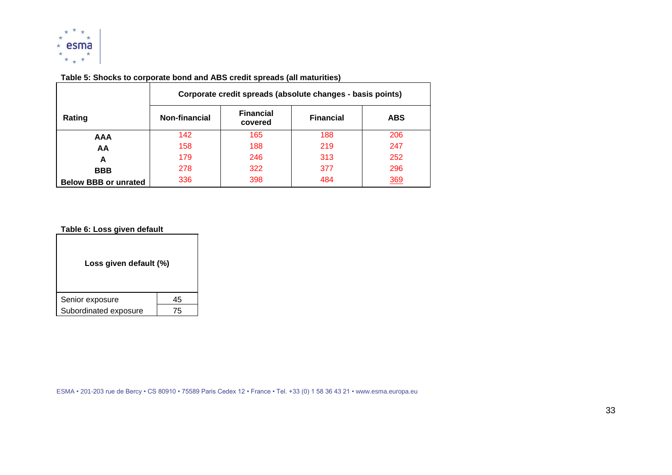

|                             | Corporate credit spreads (absolute changes - basis points) |                             |                  |            |  |  |  |  |
|-----------------------------|------------------------------------------------------------|-----------------------------|------------------|------------|--|--|--|--|
| Rating                      | Non-financial                                              | <b>Financial</b><br>covered | <b>Financial</b> | <b>ABS</b> |  |  |  |  |
| <b>AAA</b>                  | 142                                                        | 165                         | 188              | 206        |  |  |  |  |
| AA                          | 158                                                        | 188                         | 219              | 247        |  |  |  |  |
| A                           | 179                                                        | 246                         | 313              | 252        |  |  |  |  |
| <b>BBB</b>                  | 278                                                        | 322                         | 377              | 296        |  |  |  |  |
| <b>Below BBB or unrated</b> | 336                                                        | 398                         | 484              | <u>369</u> |  |  |  |  |

### **Table 5: Shocks to corporate bond and ABS credit spreads (all maturities)**

#### **Table 6: Loss given default**

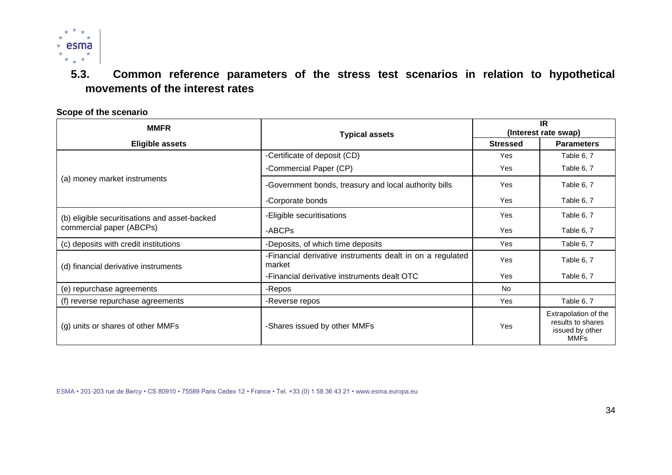

### **5.3. Common reference parameters of the stress test scenarios in relation to hypothetical movements of the interest rates**

#### **Scope of the scenario**

<span id="page-33-0"></span>

| <b>MMFR</b>                                   |                                                                     | IR                   |                                                                             |  |  |
|-----------------------------------------------|---------------------------------------------------------------------|----------------------|-----------------------------------------------------------------------------|--|--|
|                                               | <b>Typical assets</b>                                               | (Interest rate swap) |                                                                             |  |  |
| <b>Eligible assets</b>                        |                                                                     | <b>Stressed</b>      | <b>Parameters</b>                                                           |  |  |
|                                               | -Certificate of deposit (CD)                                        | Yes                  | Table 6, 7                                                                  |  |  |
|                                               | -Commercial Paper (CP)                                              | Yes                  | Table 6, 7                                                                  |  |  |
| (a) money market instruments                  | -Government bonds, treasury and local authority bills               | Yes                  | Table 6, 7                                                                  |  |  |
|                                               | -Corporate bonds                                                    | Yes                  | Table 6, 7                                                                  |  |  |
| (b) eligible securitisations and asset-backed | -Eligible securitisations                                           | Yes                  | Table 6, 7                                                                  |  |  |
| commercial paper (ABCPs)                      | -ABCPs                                                              | Yes                  | Table 6, 7                                                                  |  |  |
| (c) deposits with credit institutions         | -Deposits, of which time deposits                                   | Yes                  | Table 6, 7                                                                  |  |  |
| (d) financial derivative instruments          | -Financial derivative instruments dealt in on a regulated<br>market | Yes                  | Table 6, 7                                                                  |  |  |
|                                               | -Financial derivative instruments dealt OTC                         | Yes                  | Table 6, 7                                                                  |  |  |
| (e) repurchase agreements                     | -Repos                                                              | <b>No</b>            |                                                                             |  |  |
| (f) reverse repurchase agreements             | -Reverse repos                                                      | Yes                  | Table 6, 7                                                                  |  |  |
| (g) units or shares of other MMFs             | -Shares issued by other MMFs                                        | Yes                  | Extrapolation of the<br>results to shares<br>issued by other<br><b>MMFs</b> |  |  |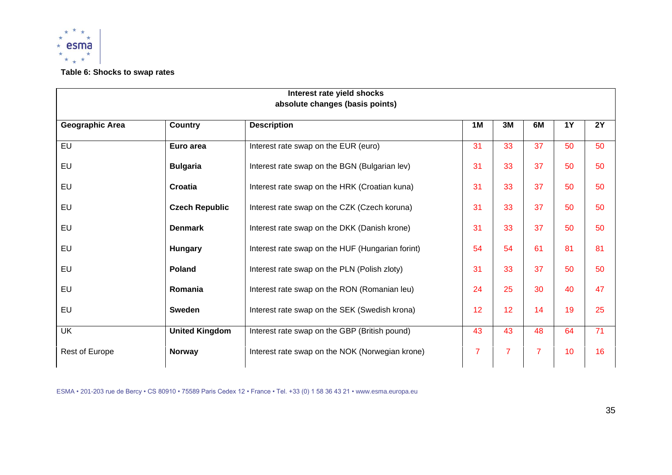

**Table 6: Shocks to swap rates**

| Interest rate yield shocks      |                       |                                                  |                |                |                |                 |           |  |
|---------------------------------|-----------------------|--------------------------------------------------|----------------|----------------|----------------|-----------------|-----------|--|
| absolute changes (basis points) |                       |                                                  |                |                |                |                 |           |  |
| <b>Geographic Area</b>          | <b>Country</b>        | <b>Description</b>                               | 1 <sub>M</sub> | 3M             | 6M             | <b>1Y</b>       | <b>2Y</b> |  |
| EU                              | Euro area             | Interest rate swap on the EUR (euro)             | 31             | 33             | 37             | 50              | 50        |  |
| EU                              | <b>Bulgaria</b>       | Interest rate swap on the BGN (Bulgarian lev)    | 31             | 33             | 37             | 50              | 50        |  |
| EU                              | Croatia               | Interest rate swap on the HRK (Croatian kuna)    | 31             | 33             | 37             | 50              | 50        |  |
| EU                              | <b>Czech Republic</b> | Interest rate swap on the CZK (Czech koruna)     | 31             | 33             | 37             | 50              | 50        |  |
| EU                              | <b>Denmark</b>        | Interest rate swap on the DKK (Danish krone)     | 31             | 33             | 37             | 50              | 50        |  |
| EU                              | Hungary               | Interest rate swap on the HUF (Hungarian forint) | 54             | 54             | 61             | 81              | 81        |  |
| EU                              | <b>Poland</b>         | Interest rate swap on the PLN (Polish zloty)     | 31             | 33             | 37             | 50              | 50        |  |
| EU                              | Romania               | Interest rate swap on the RON (Romanian leu)     | 24             | 25             | 30             | 40              | 47        |  |
| EU                              | <b>Sweden</b>         | Interest rate swap on the SEK (Swedish krona)    | 12             | 12             | 14             | 19              | 25        |  |
| <b>UK</b>                       | <b>United Kingdom</b> | Interest rate swap on the GBP (British pound)    | 43             | 43             | 48             | 64              | 71        |  |
| Rest of Europe                  | <b>Norway</b>         | Interest rate swap on the NOK (Norwegian krone)  | $\overline{7}$ | $\overline{7}$ | $\overline{7}$ | 10 <sup>°</sup> | 16        |  |
|                                 |                       |                                                  |                |                |                |                 |           |  |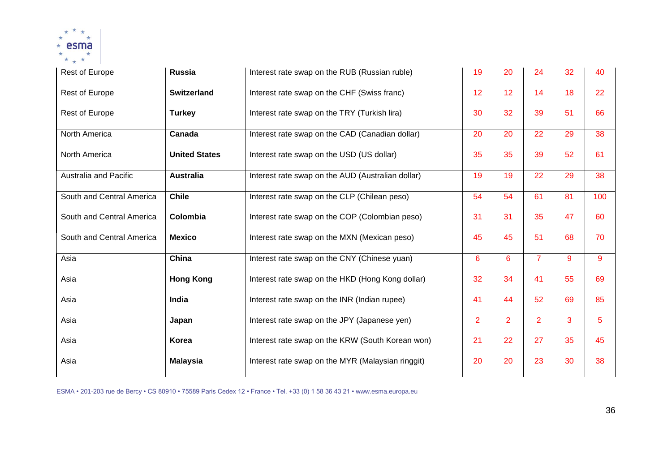

|    | 40  |
|----|-----|
| 18 | 22  |
| 51 | 66  |
| 29 | 38  |
| 52 | 61  |
| 29 | 38  |
| 81 | 100 |
| 47 | 60  |
| 68 | 70  |
| 9  | 9   |
| 55 | 69  |
| 69 | 85  |
| 3  | 5   |
| 35 | 45  |
| 30 | 38  |
|    |     |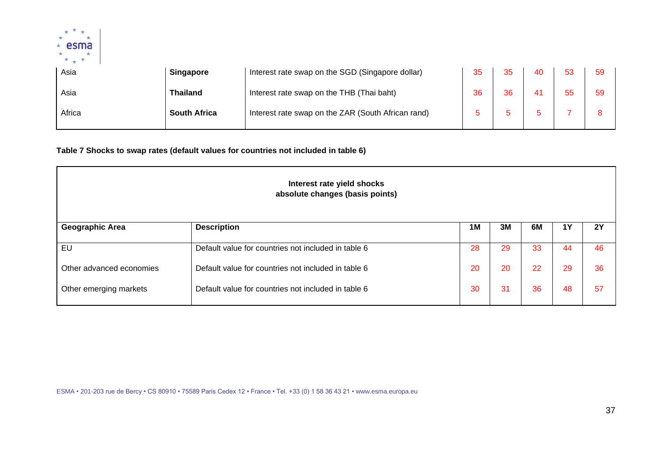| $\star$ esma<br>* * * |                     |                                                    |    |     |    |    |    |
|-----------------------|---------------------|----------------------------------------------------|----|-----|----|----|----|
| Asia                  | Singapore           | Interest rate swap on the SGD (Singapore dollar)   | 35 | -35 | 40 | 53 | 59 |
| Asia                  | <b>Thailand</b>     | Interest rate swap on the THB (Thai baht)          | 36 | 36  | 41 | 55 | 59 |
| Africa                | <b>South Africa</b> | Interest rate swap on the ZAR (South African rand) |    | 5   | 5  |    | 8  |

**Table 7 Shocks to swap rates (default values for countries not included in table 6)**

| Interest rate yield shocks<br>absolute changes (basis points) |                                                     |           |    |    |    |    |  |  |
|---------------------------------------------------------------|-----------------------------------------------------|-----------|----|----|----|----|--|--|
| <b>Geographic Area</b>                                        | <b>Description</b>                                  | <b>1M</b> | 3M | 6M | 1Y | 2Y |  |  |
| EU                                                            | Default value for countries not included in table 6 | 28        | 29 | 33 | 44 | 46 |  |  |
| Other advanced economies                                      | Default value for countries not included in table 6 | 20        | 20 | 22 | 29 | 36 |  |  |
| Other emerging markets                                        | Default value for countries not included in table 6 | 30        | 31 | 36 | 48 | 57 |  |  |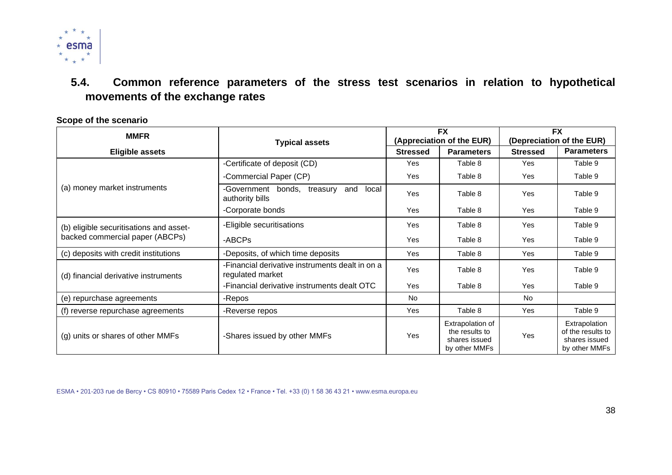

### **5.4. Common reference parameters of the stress test scenarios in relation to hypothetical movements of the exchange rates**

**Scope of the scenario**

<span id="page-37-0"></span>

| <b>MMFR</b>                             |                                                                     |                 | <b>FX</b>                                                            | <b>FX</b>                 |                                                                      |  |
|-----------------------------------------|---------------------------------------------------------------------|-----------------|----------------------------------------------------------------------|---------------------------|----------------------------------------------------------------------|--|
|                                         | <b>Typical assets</b>                                               |                 | (Appreciation of the EUR)                                            | (Depreciation of the EUR) |                                                                      |  |
| <b>Eligible assets</b>                  |                                                                     | <b>Stressed</b> | <b>Parameters</b>                                                    | <b>Stressed</b>           | <b>Parameters</b>                                                    |  |
|                                         | -Certificate of deposit (CD)                                        | Yes             | Table 8                                                              | Yes                       | Table 9                                                              |  |
|                                         | -Commercial Paper (CP)                                              | Yes             | Table 8                                                              | Yes                       | Table 9                                                              |  |
| (a) money market instruments            | -Government bonds, treasury<br>local<br>and<br>authority bills      | Yes             | Table 8                                                              | Yes                       | Table 9                                                              |  |
|                                         | -Corporate bonds                                                    | Yes             | Table 8                                                              | <b>Yes</b>                | Table 9                                                              |  |
| (b) eligible securitisations and asset- | -Eligible securitisations                                           | Yes             | Table 8                                                              | Yes                       | Table 9                                                              |  |
| backed commercial paper (ABCPs)         | -ABCPs                                                              | Yes             | Table 8                                                              | Yes                       | Table 9                                                              |  |
| (c) deposits with credit institutions   | -Deposits, of which time deposits                                   | Yes             | Table 8                                                              | Yes                       | Table 9                                                              |  |
| (d) financial derivative instruments    | -Financial derivative instruments dealt in on a<br>regulated market | Yes             | Table 8                                                              | Yes                       | Table 9                                                              |  |
|                                         | -Financial derivative instruments dealt OTC                         | Yes             | Table 8                                                              | Yes                       | Table 9                                                              |  |
| (e) repurchase agreements               | -Repos                                                              | No              |                                                                      | No.                       |                                                                      |  |
| (f) reverse repurchase agreements       | -Reverse repos                                                      | Yes             | Table 8                                                              | <b>Yes</b>                | Table 9                                                              |  |
| (g) units or shares of other MMFs       | -Shares issued by other MMFs                                        | Yes             | Extrapolation of<br>the results to<br>shares issued<br>by other MMFs | <b>Yes</b>                | Extrapolation<br>of the results to<br>shares issued<br>by other MMFs |  |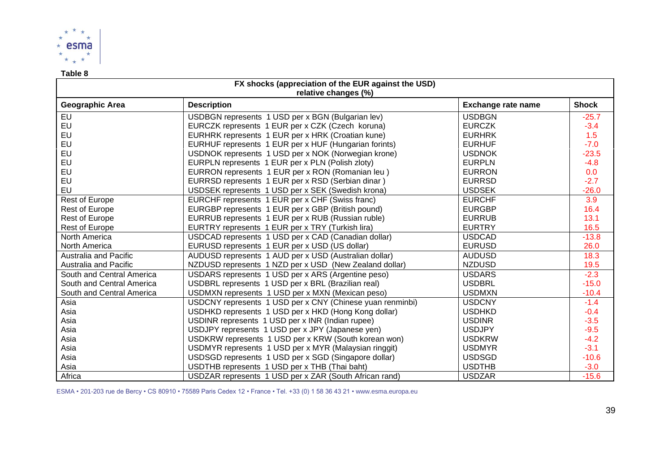

#### **Table 8**

| FX shocks (appreciation of the EUR against the USD)<br>relative changes (%) |                                                           |                           |              |  |  |  |
|-----------------------------------------------------------------------------|-----------------------------------------------------------|---------------------------|--------------|--|--|--|
| <b>Geographic Area</b>                                                      | <b>Description</b>                                        | <b>Exchange rate name</b> | <b>Shock</b> |  |  |  |
| EU                                                                          | USDBGN represents 1 USD per x BGN (Bulgarian lev)         | <b>USDBGN</b>             | $-25.7$      |  |  |  |
| EU                                                                          | EURCZK represents 1 EUR per x CZK (Czech koruna)          | <b>EURCZK</b>             | $-3.4$       |  |  |  |
| EU                                                                          | EURHRK represents 1 EUR per x HRK (Croatian kune)         | <b>EURHRK</b>             | 1.5          |  |  |  |
| EU                                                                          | EURHUF represents 1 EUR per x HUF (Hungarian forints)     | <b>EURHUF</b>             | $-7.0$       |  |  |  |
| EU                                                                          | USDNOK represents 1 USD per x NOK (Norwegian krone)       | <b>USDNOK</b>             | $-23.5$      |  |  |  |
| EU                                                                          | EURPLN represents 1 EUR per x PLN (Polish zloty)          | <b>EURPLN</b>             | $-4.8$       |  |  |  |
| EU                                                                          | EURRON represents 1 EUR per x RON (Romanian leu)          | <b>EURRON</b>             | 0.0          |  |  |  |
| EU                                                                          | EURRSD represents 1 EUR per x RSD (Serbian dinar)         | <b>EURRSD</b>             | $-2.7$       |  |  |  |
| EU                                                                          | USDSEK represents 1 USD per x SEK (Swedish krona)         | <b>USDSEK</b>             | $-26.0$      |  |  |  |
| Rest of Europe                                                              | EURCHF represents 1 EUR per x CHF (Swiss franc)           | <b>EURCHF</b>             | 3.9          |  |  |  |
| Rest of Europe                                                              | EURGBP represents 1 EUR per x GBP (British pound)         | <b>EURGBP</b>             | 16.4         |  |  |  |
| <b>Rest of Europe</b>                                                       | EURRUB represents 1 EUR per x RUB (Russian ruble)         | <b>EURRUB</b>             | 13.1         |  |  |  |
| <b>Rest of Europe</b>                                                       | EURTRY represents 1 EUR per x TRY (Turkish lira)          | <b>EURTRY</b>             | 16.5         |  |  |  |
| North America                                                               | USDCAD represents 1 USD per x CAD (Canadian dollar)       | <b>USDCAD</b>             | $-13.8$      |  |  |  |
| North America                                                               | EURUSD represents 1 EUR per x USD (US dollar)             | <b>EURUSD</b>             | 26.0         |  |  |  |
| Australia and Pacific                                                       | AUDUSD represents 1 AUD per x USD (Australian dollar)     | <b>AUDUSD</b>             | 18.3         |  |  |  |
| Australia and Pacific                                                       | NZDUSD represents 1 NZD per x USD (New Zealand dollar)    | <b>NZDUSD</b>             | 19.5         |  |  |  |
| South and Central America                                                   | USDARS represents 1 USD per x ARS (Argentine peso)        | <b>USDARS</b>             | $-2.3$       |  |  |  |
| South and Central America                                                   | USDBRL represents 1 USD per x BRL (Brazilian real)        | <b>USDBRL</b>             | $-15.0$      |  |  |  |
| South and Central America                                                   | USDMXN represents 1 USD per x MXN (Mexican peso)          | <b>USDMXN</b>             | $-10.4$      |  |  |  |
| Asia                                                                        | USDCNY represents 1 USD per x CNY (Chinese yuan renminbi) | <b>USDCNY</b>             | $-1.4$       |  |  |  |
| Asia                                                                        | USDHKD represents 1 USD per x HKD (Hong Kong dollar)      | <b>USDHKD</b>             | $-0.4$       |  |  |  |
| Asia                                                                        | USDINR represents 1 USD per x INR (Indian rupee)          | <b>USDINR</b>             | $-3.5$       |  |  |  |
| Asia                                                                        | USDJPY represents 1 USD per x JPY (Japanese yen)          | <b>USDJPY</b>             | $-9.5$       |  |  |  |
| Asia                                                                        | USDKRW represents 1 USD per x KRW (South korean won)      | <b>USDKRW</b>             | $-4.2$       |  |  |  |
| Asia                                                                        | USDMYR represents 1 USD per x MYR (Malaysian ringgit)     | <b>USDMYR</b>             | $-3.1$       |  |  |  |
| Asia                                                                        | USDSGD represents 1 USD per x SGD (Singapore dollar)      | <b>USDSGD</b>             | $-10.6$      |  |  |  |
| Asia                                                                        | USDTHB represents 1 USD per x THB (Thai baht)             | <b>USDTHB</b>             | $-3.0$       |  |  |  |
| Africa                                                                      | USDZAR represents 1 USD per x ZAR (South African rand)    | <b>USDZAR</b>             | $-15.6$      |  |  |  |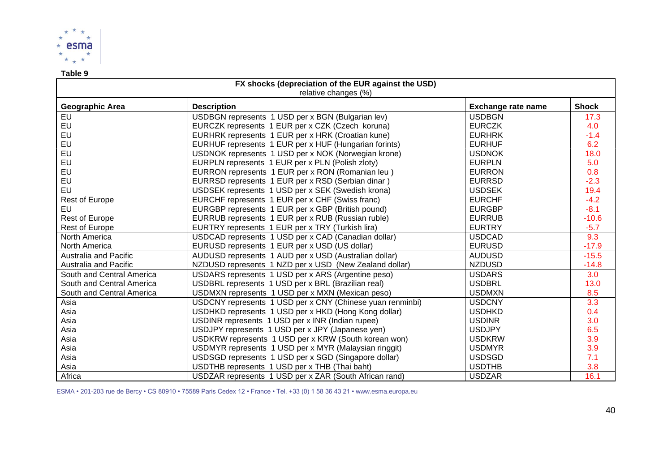

#### **Table 9**

| FX shocks (depreciation of the EUR against the USD)<br>relative changes (%) |                                                           |                           |              |  |  |  |
|-----------------------------------------------------------------------------|-----------------------------------------------------------|---------------------------|--------------|--|--|--|
| <b>Geographic Area</b>                                                      | <b>Description</b>                                        | <b>Exchange rate name</b> | <b>Shock</b> |  |  |  |
| EU                                                                          | USDBGN represents 1 USD per x BGN (Bulgarian lev)         | <b>USDBGN</b>             | 17.3         |  |  |  |
| EU                                                                          | EURCZK represents 1 EUR per x CZK (Czech koruna)          | <b>EURCZK</b>             | 4.0          |  |  |  |
| EU                                                                          | EURHRK represents 1 EUR per x HRK (Croatian kune)         | <b>EURHRK</b>             | $-1.4$       |  |  |  |
| EU                                                                          | EURHUF represents 1 EUR per x HUF (Hungarian forints)     | <b>EURHUF</b>             | 6.2          |  |  |  |
| EU                                                                          | USDNOK represents 1 USD per x NOK (Norwegian krone)       | <b>USDNOK</b>             | 18.0         |  |  |  |
| EU                                                                          | EURPLN represents 1 EUR per x PLN (Polish zloty)          | <b>EURPLN</b>             | 5.0          |  |  |  |
| EU                                                                          | EURRON represents 1 EUR per x RON (Romanian leu)          | <b>EURRON</b>             | 0.8          |  |  |  |
| EU                                                                          | EURRSD represents 1 EUR per x RSD (Serbian dinar)         | <b>EURRSD</b>             | $-2.3$       |  |  |  |
| EU                                                                          | USDSEK represents 1 USD per x SEK (Swedish krona)         | <b>USDSEK</b>             | 19.4         |  |  |  |
| Rest of Europe                                                              | EURCHF represents 1 EUR per x CHF (Swiss franc)           | <b>EURCHF</b>             | $-4.2$       |  |  |  |
| EU                                                                          | EURGBP represents 1 EUR per x GBP (British pound)         | <b>EURGBP</b>             | $-8.1$       |  |  |  |
| Rest of Europe                                                              | EURRUB represents 1 EUR per x RUB (Russian ruble)         | <b>EURRUB</b>             | $-10.6$      |  |  |  |
| <b>Rest of Europe</b>                                                       | EURTRY represents 1 EUR per x TRY (Turkish lira)          | <b>EURTRY</b>             | $-5.7$       |  |  |  |
| North America                                                               | USDCAD represents 1 USD per x CAD (Canadian dollar)       | <b>USDCAD</b>             | 9.3          |  |  |  |
| North America                                                               | EURUSD represents 1 EUR per x USD (US dollar)             | <b>EURUSD</b>             | $-17.9$      |  |  |  |
| Australia and Pacific                                                       | AUDUSD represents 1 AUD per x USD (Australian dollar)     | <b>AUDUSD</b>             | $-15.5$      |  |  |  |
| Australia and Pacific                                                       | NZDUSD represents 1 NZD per x USD (New Zealand dollar)    | <b>NZDUSD</b>             | $-14.8$      |  |  |  |
| South and Central America                                                   | USDARS represents 1 USD per x ARS (Argentine peso)        | <b>USDARS</b>             | 3.0          |  |  |  |
| South and Central America                                                   | USDBRL represents 1 USD per x BRL (Brazilian real)        | <b>USDBRL</b>             | 13.0         |  |  |  |
| South and Central America                                                   | USDMXN represents 1 USD per x MXN (Mexican peso)          | <b>USDMXN</b>             | 8.5          |  |  |  |
| Asia                                                                        | USDCNY represents 1 USD per x CNY (Chinese yuan renminbi) | <b>USDCNY</b>             | 3.3          |  |  |  |
| Asia                                                                        | USDHKD represents 1 USD per x HKD (Hong Kong dollar)      | <b>USDHKD</b>             | 0.4          |  |  |  |
| Asia                                                                        | USDINR represents 1 USD per x INR (Indian rupee)          | <b>USDINR</b>             | 3.0          |  |  |  |
| Asia                                                                        | USDJPY represents 1 USD per x JPY (Japanese yen)          | <b>USDJPY</b>             | 6.5          |  |  |  |
| Asia                                                                        | USDKRW represents 1 USD per x KRW (South korean won)      | <b>USDKRW</b>             | 3.9          |  |  |  |
| Asia                                                                        | USDMYR represents 1 USD per x MYR (Malaysian ringgit)     | <b>USDMYR</b>             | 3.9          |  |  |  |
| Asia                                                                        | USDSGD represents 1 USD per x SGD (Singapore dollar)      | <b>USDSGD</b>             | 7.1          |  |  |  |
| Asia                                                                        | USDTHB represents 1 USD per x THB (Thai baht)             | <b>USDTHB</b>             | 3.8          |  |  |  |
| Africa                                                                      | USDZAR represents 1 USD per x ZAR (South African rand)    | <b>USDZAR</b>             | 16.1         |  |  |  |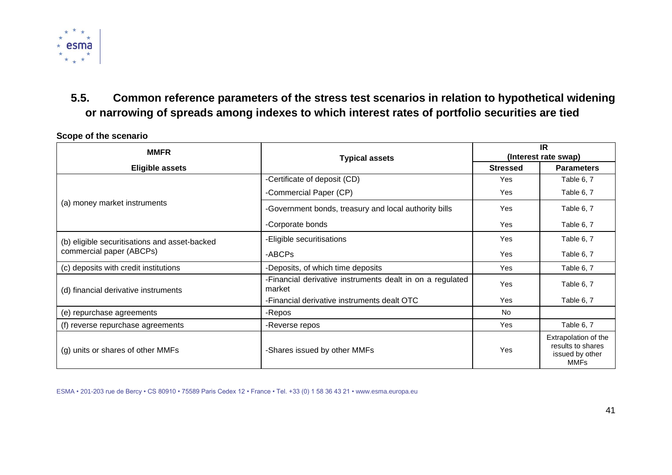

### **5.5. Common reference parameters of the stress test scenarios in relation to hypothetical widening or narrowing of spreads among indexes to which interest rates of portfolio securities are tied**

**Scope of the scenario**

<span id="page-40-0"></span>

| <b>MMFR</b>                                   |                                                                     | <b>IR</b>            |                                                                             |  |
|-----------------------------------------------|---------------------------------------------------------------------|----------------------|-----------------------------------------------------------------------------|--|
|                                               | <b>Typical assets</b>                                               | (Interest rate swap) |                                                                             |  |
| <b>Eligible assets</b>                        |                                                                     | <b>Stressed</b>      | <b>Parameters</b>                                                           |  |
|                                               | -Certificate of deposit (CD)                                        | <b>Yes</b>           | Table 6, 7                                                                  |  |
|                                               | -Commercial Paper (CP)                                              | <b>Yes</b>           | Table 6, 7                                                                  |  |
| (a) money market instruments                  | -Government bonds, treasury and local authority bills               | Yes                  | Table 6, 7                                                                  |  |
|                                               | -Corporate bonds                                                    | Yes                  | Table 6, 7                                                                  |  |
| (b) eligible securitisations and asset-backed | -Eligible securitisations                                           | Yes                  | Table 6, 7                                                                  |  |
| commercial paper (ABCPs)                      | -ABCPs                                                              | Yes                  | Table 6, 7                                                                  |  |
| (c) deposits with credit institutions         | -Deposits, of which time deposits                                   | Yes                  | Table 6, 7                                                                  |  |
| (d) financial derivative instruments          | -Financial derivative instruments dealt in on a regulated<br>market | Yes                  | Table 6, 7                                                                  |  |
|                                               | -Financial derivative instruments dealt OTC                         | <b>Yes</b>           | Table 6, 7                                                                  |  |
| (e) repurchase agreements                     | -Repos                                                              | <b>No</b>            |                                                                             |  |
| (f) reverse repurchase agreements             | -Reverse repos                                                      | <b>Yes</b>           | Table 6, 7                                                                  |  |
| (g) units or shares of other MMFs             | -Shares issued by other MMFs                                        | Yes                  | Extrapolation of the<br>results to shares<br>issued by other<br><b>MMFs</b> |  |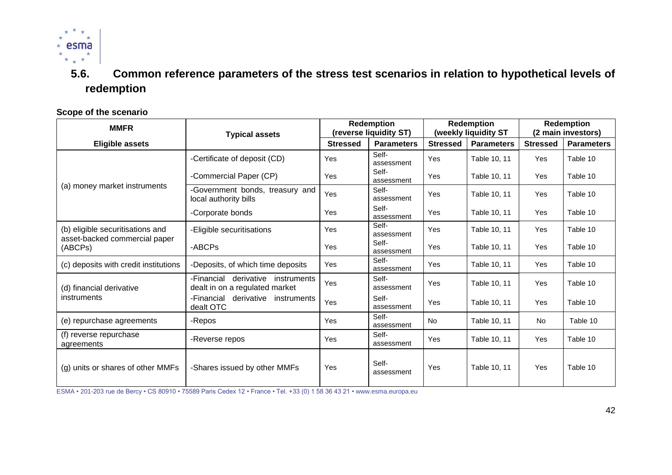

### **5.6. Common reference parameters of the stress test scenarios in relation to hypothetical levels of redemption**

#### **Scope of the scenario**

<span id="page-41-0"></span>

| <b>MMFR</b>                                                       | <b>Typical assets</b>                                                  |                 | <b>Redemption</b><br>(reverse liquidity ST) |                 | <b>Redemption</b><br>(weekly liquidity ST |                 | <b>Redemption</b><br>(2 main investors) |
|-------------------------------------------------------------------|------------------------------------------------------------------------|-----------------|---------------------------------------------|-----------------|-------------------------------------------|-----------------|-----------------------------------------|
| <b>Eligible assets</b>                                            |                                                                        | <b>Stressed</b> | <b>Parameters</b>                           | <b>Stressed</b> | <b>Parameters</b>                         | <b>Stressed</b> | <b>Parameters</b>                       |
|                                                                   | -Certificate of deposit (CD)                                           | Yes             | Self-<br>assessment                         | Yes             | Table 10, 11                              | Yes             | Table 10                                |
|                                                                   | -Commercial Paper (CP)                                                 | Yes             | Self-<br>assessment                         | <b>Yes</b>      | Table 10, 11                              | Yes             | Table 10                                |
| (a) money market instruments                                      | -Government bonds, treasury and<br>local authority bills               | Yes             | Self-<br>assessment                         | Yes             | Table 10, 11                              | Yes             | Table 10                                |
|                                                                   | -Corporate bonds                                                       | Yes             | Self-<br>assessment                         | Yes             | Table 10, 11                              | Yes             | Table 10                                |
| (b) eligible securitisations and<br>asset-backed commercial paper | -Eligible securitisations                                              | Yes             | Self-<br>assessment                         | Yes             | Table 10, 11                              | Yes             | Table 10                                |
| (ABCPs)                                                           | -ABCPs                                                                 | Yes             | Self-<br>assessment                         | Yes             | Table 10, 11                              | Yes             | Table 10                                |
| (c) deposits with credit institutions                             | -Deposits, of which time deposits                                      | Yes             | Self-<br>assessment                         | Yes             | Table 10, 11                              | Yes             | Table 10                                |
| (d) financial derivative                                          | -Financial derivative<br>instruments<br>dealt in on a regulated market | Yes             | Self-<br>assessment                         | Yes             | Table 10, 11                              | Yes             | Table 10                                |
| instruments                                                       | -Financial<br>derivative instruments<br>dealt OTC                      | Yes             | Self-<br>assessment                         | Yes             | Table 10, 11                              | Yes             | Table 10                                |
| (e) repurchase agreements                                         | -Repos                                                                 | Yes             | Self-<br>assessment                         | No.             | Table 10, 11                              | <b>No</b>       | Table 10                                |
| (f) reverse repurchase<br>agreements                              | -Reverse repos                                                         | Yes             | Self-<br>assessment                         | Yes             | Table 10, 11                              | Yes             | Table 10                                |
| (g) units or shares of other MMFs                                 | -Shares issued by other MMFs                                           | Yes             | Self-<br>assessment                         | Yes             | Table 10, 11                              | Yes             | Table 10                                |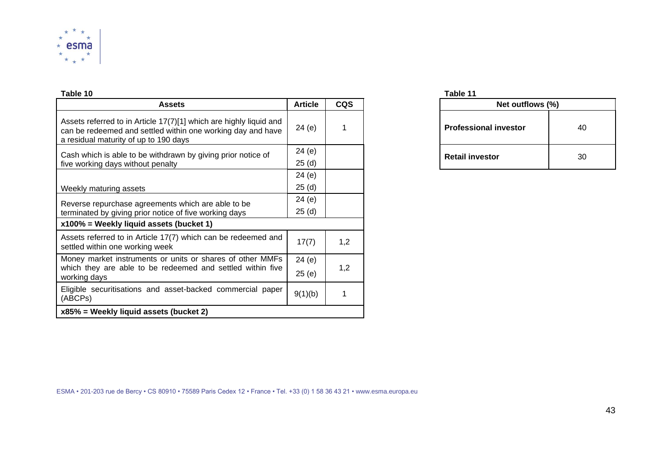

#### **Table 10 Table 11**

| Assets                                                                                                                                                                     | <b>Article</b> | <b>CQS</b> | Net outflows (%)             |
|----------------------------------------------------------------------------------------------------------------------------------------------------------------------------|----------------|------------|------------------------------|
| Assets referred to in Article 17(7)[1] which are highly liquid and<br>can be redeemed and settled within one working day and have<br>a residual maturity of up to 190 days | 24(e)          |            | <b>Professional investor</b> |
| Cash which is able to be withdrawn by giving prior notice of<br>five working days without penalty                                                                          | 24(e)<br>25(d) |            | <b>Retail investor</b>       |
| Weekly maturing assets                                                                                                                                                     | 24(e)<br>25(d) |            |                              |
| Reverse repurchase agreements which are able to be<br>terminated by giving prior notice of five working days                                                               | 24(e)<br>25(d) |            |                              |
| x100% = Weekly liquid assets (bucket 1)                                                                                                                                    |                |            |                              |
| Assets referred to in Article 17(7) which can be redeemed and<br>settled within one working week                                                                           | 17(7)          | 1,2        |                              |
| Money market instruments or units or shares of other MMFs<br>which they are able to be redeemed and settled within five<br>working days                                    | 24(e)<br>25(e) | 1,2        |                              |
| Eligible securitisations and asset-backed commercial paper<br>(ABCPs)                                                                                                      | 9(1)(b)        |            |                              |
| x85% = Weekly liquid assets (bucket 2)                                                                                                                                     |                |            |                              |

| ۱<br>U | 47<br>≏ |  |  |
|--------|---------|--|--|
|        |         |  |  |

| Article          | <b>CQS</b> | Net outflows (%)             |    |  |
|------------------|------------|------------------------------|----|--|
| 24 (e)           |            | <b>Professional investor</b> | 40 |  |
| 24 (e)<br>25 (d) |            | <b>Retail investor</b>       | 30 |  |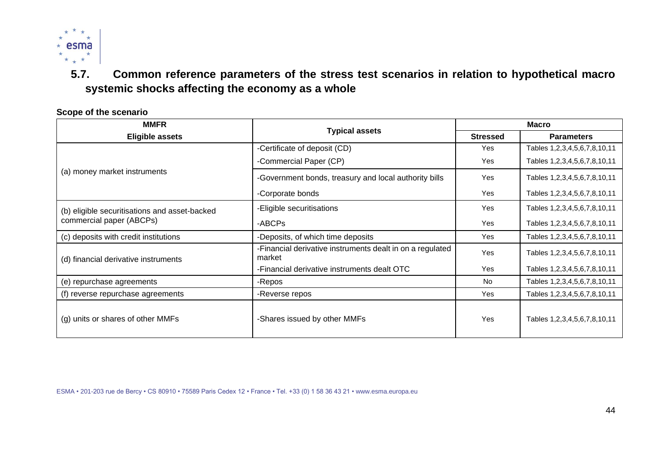

### **5.7. Common reference parameters of the stress test scenarios in relation to hypothetical macro systemic shocks affecting the economy as a whole**

**Scope of the scenario**

<span id="page-43-0"></span>

| <b>MMFR</b>                                   |                                                                     | <b>Macro</b>    |                                       |  |
|-----------------------------------------------|---------------------------------------------------------------------|-----------------|---------------------------------------|--|
| <b>Eligible assets</b>                        | <b>Typical assets</b>                                               | <b>Stressed</b> | <b>Parameters</b>                     |  |
|                                               | -Certificate of deposit (CD)                                        | Yes             | Tables 1,2,3,4,5,6,7,8,10,11          |  |
|                                               | -Commercial Paper (CP)                                              | Yes             | Tables 1,2,3,4,5,6,7,8,10,11          |  |
| (a) money market instruments                  | -Government bonds, treasury and local authority bills               | Yes             | Tables 1,2,3,4,5,6,7,8,10,11          |  |
|                                               | -Corporate bonds                                                    | Yes             | Tables 1, 2, 3, 4, 5, 6, 7, 8, 10, 11 |  |
| (b) eligible securitisations and asset-backed | -Eligible securitisations                                           | Yes             | Tables 1, 2, 3, 4, 5, 6, 7, 8, 10, 11 |  |
| commercial paper (ABCPs)                      | -ABCPs                                                              | Yes             | Tables 1,2,3,4,5,6,7,8,10,11          |  |
| (c) deposits with credit institutions         | -Deposits, of which time deposits                                   | Yes             | Tables 1, 2, 3, 4, 5, 6, 7, 8, 10, 11 |  |
| (d) financial derivative instruments          | -Financial derivative instruments dealt in on a regulated<br>market | Yes             | Tables 1, 2, 3, 4, 5, 6, 7, 8, 10, 11 |  |
|                                               | -Financial derivative instruments dealt OTC                         | Yes             | Tables 1,2,3,4,5,6,7,8,10,11          |  |
| (e) repurchase agreements                     | -Repos                                                              | No.             | Tables 1,2,3,4,5,6,7,8,10,11          |  |
| (f) reverse repurchase agreements             | -Reverse repos                                                      | Yes             | Tables 1,2,3,4,5,6,7,8,10,11          |  |
| (g) units or shares of other MMFs             | -Shares issued by other MMFs                                        | Yes             | Tables 1, 2, 3, 4, 5, 6, 7, 8, 10, 11 |  |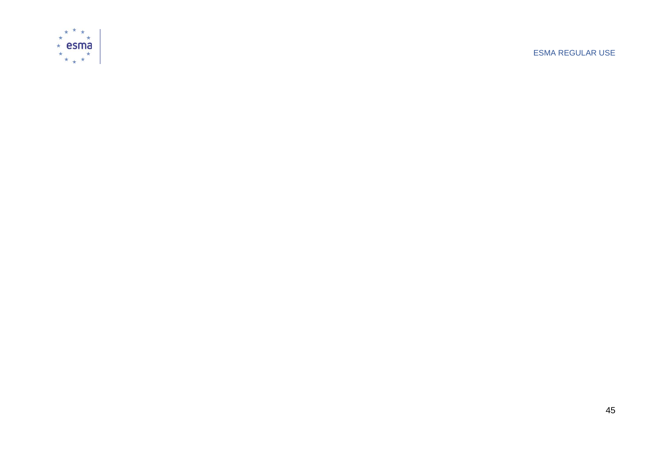

ESMA REGULAR USE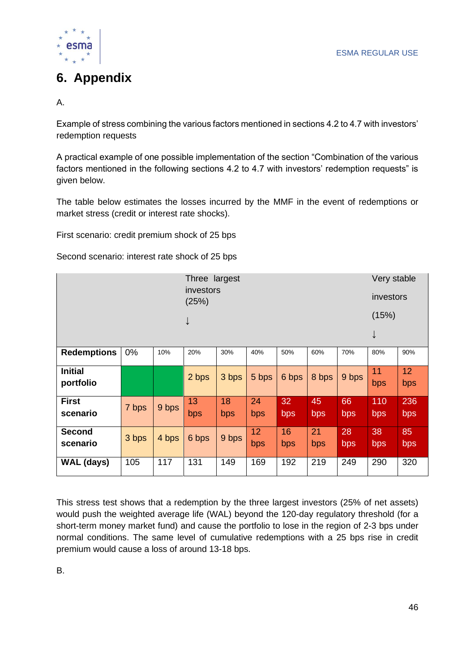

## <span id="page-45-0"></span>**6. Appendix**

#### A.

Example of stress combining the various factors mentioned in sections 4.2 to 4.7 with investors' redemption requests

A practical example of one possible implementation of the section "Combination of the various factors mentioned in the following sections 4.2 to 4.7 with investors' redemption requests" is given below.

The table below estimates the losses incurred by the MMF in the event of redemptions or market stress (credit or interest rate shocks).

First scenario: credit premium shock of 25 bps

Second scenario: interest rate shock of 25 bps

|                             |       |       | Three largest<br>investors |           |           |           |           |           | Very stable |            |
|-----------------------------|-------|-------|----------------------------|-----------|-----------|-----------|-----------|-----------|-------------|------------|
|                             |       |       | (25%)                      |           |           |           |           |           | investors   |            |
|                             |       |       | ↓                          |           |           |           |           |           | (15%)       |            |
|                             |       |       |                            |           |           |           |           |           | ↓           |            |
| <b>Redemptions</b>          | 0%    | 10%   | 20%                        | 30%       | 40%       | 50%       | 60%       | 70%       | 80%         | 90%        |
| <b>Initial</b><br>portfolio |       |       | 2 bps                      | 3 bps     | 5 bps     | 6 bps     | 8 bps     | 9 bps     | 11<br>bps   | 12<br>bps  |
| <b>First</b><br>scenario    | 7 bps | 9 bps | 13<br>bps                  | 18<br>bps | 24<br>bps | 32<br>bps | 45<br>bps | 66<br>bps | 110<br>bps  | 236<br>bps |
| <b>Second</b><br>scenario   | 3 bps | 4 bps | 6 bps                      | 9 bps     | 12<br>bps | 16<br>bps | 21<br>bps | 28<br>bps | 38<br>bps   | 85<br>bps  |
| <b>WAL</b> (days)           | 105   | 117   | 131                        | 149       | 169       | 192       | 219       | 249       | 290         | 320        |

This stress test shows that a redemption by the three largest investors (25% of net assets) would push the weighted average life (WAL) beyond the 120-day regulatory threshold (for a short-term money market fund) and cause the portfolio to lose in the region of 2-3 bps under normal conditions. The same level of cumulative redemptions with a 25 bps rise in credit premium would cause a loss of around 13-18 bps.

B.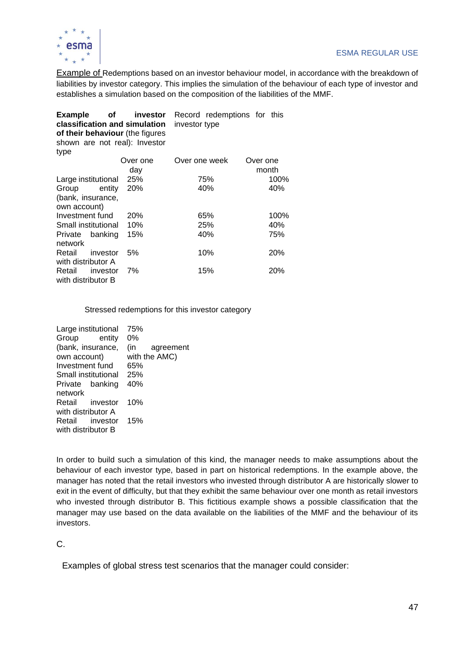

Example of Redemptions based on an investor behaviour model, in accordance with the breakdown of liabilities by investor category. This implies the simulation of the behaviour of each type of investor and establishes a simulation based on the composition of the liabilities of the MMF.

| of<br><b>Example</b><br>classification and simulation<br>of their behaviour (the figures<br>shown are not real): Investor<br>type | investor        | Record redemptions for this<br>investor type |                   |
|-----------------------------------------------------------------------------------------------------------------------------------|-----------------|----------------------------------------------|-------------------|
|                                                                                                                                   | Over one<br>day | Over one week                                | Over one<br>month |
| Large institutional                                                                                                               | 25%             | 75%                                          | 100%              |
| Group<br>entity                                                                                                                   | 20%             | 40%                                          | 40%               |
| (bank, insurance,<br>own account)                                                                                                 |                 |                                              |                   |
| Investment fund                                                                                                                   | <b>20%</b>      | 65%                                          | 100%              |
| Small institutional                                                                                                               | 10%             | 25%                                          | 40%               |
| Private banking<br>network                                                                                                        | 15%             | 40%                                          | 75%               |
| Retail<br>investor<br>with distributor A                                                                                          | 5%              | 10%                                          | 20%               |
| Retail<br>investor<br>with distributor B                                                                                          | 7%              | 15%                                          | 20%               |

#### Stressed redemptions for this investor category

| Large institutional | 75%           |               |  |
|---------------------|---------------|---------------|--|
| Group entity        | 0%            |               |  |
| (bank, insurance,   |               | (in agreement |  |
| own account)        | with the AMC) |               |  |
| Investment fund     | 65%           |               |  |
| Small institutional | 25%           |               |  |
| Private banking     | 40%           |               |  |
| network             |               |               |  |
| Retail investor     | 10%           |               |  |
| with distributor A  |               |               |  |
| Retail investor     | 15%           |               |  |
| with distributor B  |               |               |  |
|                     |               |               |  |

In order to build such a simulation of this kind, the manager needs to make assumptions about the behaviour of each investor type, based in part on historical redemptions. In the example above, the manager has noted that the retail investors who invested through distributor A are historically slower to exit in the event of difficulty, but that they exhibit the same behaviour over one month as retail investors who invested through distributor B. This fictitious example shows a possible classification that the manager may use based on the data available on the liabilities of the MMF and the behaviour of its investors.

#### C.

Examples of global stress test scenarios that the manager could consider: